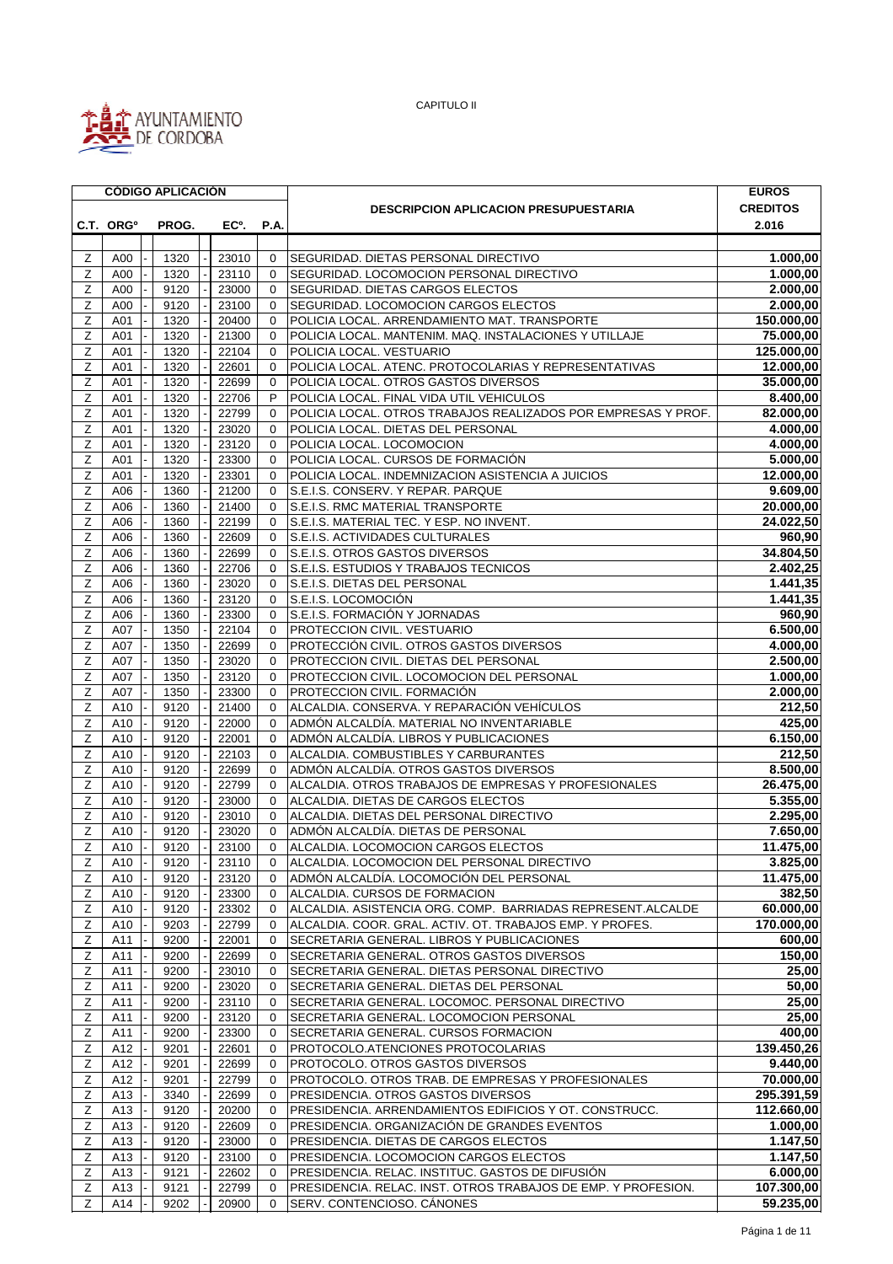

|             |                       | <b>CÓDIGO APLICACIÓN</b> |       |              |                                                               | <b>EUROS</b>          |
|-------------|-----------------------|--------------------------|-------|--------------|---------------------------------------------------------------|-----------------------|
|             |                       |                          |       |              | <b>DESCRIPCION APLICACION PRESUPUESTARIA</b>                  | <b>CREDITOS</b>       |
|             | C.T. ORG <sup>o</sup> | PROG.                    | ECº.  | <b>P.A.</b>  |                                                               | 2.016                 |
|             |                       |                          |       |              |                                                               |                       |
| Ζ           | A00                   | 1320                     | 23010 | $\mathbf 0$  | ISEGURIDAD. DIETAS PERSONAL DIRECTIVO                         | 1.000,00              |
| Ζ           | A <sub>0</sub>        | 1320                     | 23110 | $\mathbf 0$  | ISEGURIDAD. LOCOMOCION PERSONAL DIRECTIVO                     | 1.000,00              |
| Ζ           | A00                   | 9120                     | 23000 | $\mathbf 0$  | SEGURIDAD. DIETAS CARGOS ELECTOS                              | 2.000,00              |
| Ζ           | A00                   | 9120                     | 23100 | $\mathbf 0$  | SEGURIDAD. LOCOMOCION CARGOS ELECTOS                          | 2.000,00              |
| Ζ           | A01                   | 1320                     | 20400 | $\Omega$     | POLICIA LOCAL. ARRENDAMIENTO MAT. TRANSPORTE                  | 150.000,00            |
| Ζ           | A01                   | 1320                     | 21300 | $\mathbf 0$  | POLICIA LOCAL. MANTENIM. MAQ. INSTALACIONES Y UTILLAJE        | 75.000,00             |
| Z           | A01                   | 1320                     | 22104 | $\Omega$     | POLICIA LOCAL. VESTUARIO                                      | 125.000,00            |
| Ζ           | A01                   | 1320                     | 22601 | $\Omega$     | POLICIA LOCAL. ATENC. PROTOCOLARIAS Y REPRESENTATIVAS         | 12.000,00             |
| Ζ           | A01                   | 1320                     | 22699 | $\Omega$     | POLICIA LOCAL. OTROS GASTOS DIVERSOS                          | 35.000,00             |
| Ζ           |                       |                          | 22706 | P            |                                                               |                       |
| Ζ           | A01                   | 1320<br>1320             | 22799 |              | POLICIA LOCAL. FINAL VIDA UTIL VEHICULOS                      | 8.400,00<br>82.000,00 |
|             | A01                   |                          |       | $\mathbf 0$  | POLICIA LOCAL. OTROS TRABAJOS REALIZADOS POR EMPRESAS Y PROF. |                       |
| Ζ           | A01                   | 1320                     | 23020 | $\Omega$     | POLICIA LOCAL. DIETAS DEL PERSONAL                            | 4.000,00              |
| Ζ           | A01                   | 1320                     | 23120 | $\mathbf 0$  | POLICIA LOCAL. LOCOMOCION                                     | 4.000,00              |
| Ζ           | A01                   | 1320                     | 23300 | $\Omega$     | POLICIA LOCAL. CURSOS DE FORMACIÓN                            | 5.000,00              |
| Ζ           | A01                   | 1320                     | 23301 | $\Omega$     | POLICIA LOCAL. INDEMNIZACION ASISTENCIA A JUICIOS             | 12.000,00             |
| Ζ           | A06                   | 1360                     | 21200 | $\Omega$     | S.E.I.S. CONSERV. Y REPAR. PARQUE                             | 9.609,00              |
| Ζ           | A06                   | 1360                     | 21400 | $\mathbf 0$  | S.E.I.S. RMC MATERIAL TRANSPORTE                              | 20.000,00             |
| Z           | A06                   | 1360                     | 22199 | $\Omega$     | S.E.I.S. MATERIAL TEC. Y ESP. NO INVENT.                      | 24.022,50             |
| Ζ           | A06                   | 1360                     | 22609 | $\Omega$     | S.E.I.S. ACTIVIDADES CULTURALES                               | 960,90                |
| Ζ           | A06                   | 1360                     | 22699 | $\Omega$     | S.E.I.S. OTROS GASTOS DIVERSOS                                | 34.804,50             |
| z           | A06                   | 1360                     | 22706 | 0            | S.E.I.S. ESTUDIOS Y TRABAJOS TECNICOS                         | 2.402,25              |
| Ζ           | A06                   | 1360                     | 23020 | $\Omega$     | S.E.I.S. DIETAS DEL PERSONAL                                  | 1.441,35              |
| Ζ           | A06                   | 1360                     | 23120 | $\Omega$     | S.E.I.S. LOCOMOCIÓN                                           | 1.441,35              |
| Ζ           | A06                   | 1360                     | 23300 | $\Omega$     | S.E.I.S. FORMACIÓN Y JORNADAS                                 | 960,90                |
| Ζ           | A07                   | 1350                     | 22104 | $\Omega$     | PROTECCION CIVIL. VESTUARIO                                   | 6.500,00              |
| Ζ           | A07                   | 1350                     | 22699 | $\Omega$     | PROTECCIÓN CIVIL. OTROS GASTOS DIVERSOS                       | 4.000,00              |
| Ζ           | A07                   | 1350                     | 23020 | $\Omega$     | PROTECCION CIVIL. DIETAS DEL PERSONAL                         | 2.500,00              |
| Ζ           | A07                   | 1350                     | 23120 | $\mathbf 0$  | PROTECCION CIVIL. LOCOMOCION DEL PERSONAL                     | 1.000,00              |
| Ζ           | A07                   | 1350                     | 23300 | $\Omega$     | PROTECCION CIVIL. FORMACIÓN                                   | 2.000,00              |
| Ζ           | A10                   | 9120                     | 21400 | $\Omega$     | ALCALDIA. CONSERVA. Y REPARACIÓN VEHÍCULOS                    | 212,50                |
| Ζ           | A10                   | 9120                     | 22000 | $\mathbf 0$  | ADMÓN ALCALDÍA. MATERIAL NO INVENTARIABLE                     | 425,00                |
| Ζ           | A10                   | 9120                     | 22001 | $\Omega$     | ADMÓN ALCALDÍA. LIBROS Y PUBLICACIONES                        | 6.150,00              |
| Ζ           | A10                   | 9120                     | 22103 | $\Omega$     | ALCALDIA. COMBUSTIBLES Y CARBURANTES                          | 212,50                |
| Ζ           | A10                   | 9120                     | 22699 | $\Omega$     | ADMÓN ALCALDÍA. OTROS GASTOS DIVERSOS                         | 8.500,00              |
| Ζ           | A10                   | 9120                     | 22799 | $\mathbf 0$  | ALCALDIA. OTROS TRABAJOS DE EMPRESAS Y PROFESIONALES          | 26.475,00             |
| $\mathsf Z$ | A10                   | 9120                     | 23000 | $\mathbf 0$  | ALCALDIA. DIETAS DE CARGOS ELECTOS                            | 5.355,00              |
| Ζ           | A10                   | 9120                     | 23010 | $\Omega$     | ALCALDIA. DIETAS DEL PERSONAL DIRECTIVO                       | 2.295,00              |
|             |                       |                          |       |              | ADMÓN ALCALDÍA. DIETAS DE PERSONAL                            |                       |
| Ζ           | A10                   | 9120                     | 23020 | $\mathbf 0$  |                                                               | 7.650,00              |
| Ζ           | A10                   | 9120                     | 23100 | $\Omega$     | ALCALDIA. LOCOMOCION CARGOS ELECTOS                           | 11.475,00             |
| Ζ           | A10                   | 9120                     | 23110 | 0            | ALCALDIA. LOCOMOCION DEL PERSONAL DIRECTIVO                   | 3.825,00              |
| Ζ           | A10                   | 9120                     | 23120 | $\Omega$     | ADMÓN ALCALDÍA. LOCOMOCIÓN DEL PERSONAL                       | 11.475,00             |
| Ζ           | A10                   | 9120                     | 23300 | 0            | ALCALDIA. CURSOS DE FORMACION                                 | 382,50                |
| Ζ           | A10                   | 9120                     | 23302 | $\mathbf{0}$ | ALCALDIA. ASISTENCIA ORG. COMP. BARRIADAS REPRESENT.ALCALDE   | 60.000.00             |
| Ζ           | A10                   | 9203                     | 22799 | $\mathbf 0$  | ALCALDIA. COOR. GRAL. ACTIV. OT. TRABAJOS EMP. Y PROFES.      | 170.000,00            |
| Ζ           | A11                   | 9200                     | 22001 | $\mathbf 0$  | SECRETARIA GENERAL. LIBROS Y PUBLICACIONES                    | 600,00                |
| Ζ           | A11                   | 9200                     | 22699 | 0            | SECRETARIA GENERAL. OTROS GASTOS DIVERSOS                     | 150,00                |
| Z           | A11                   | 9200                     | 23010 | $\mathbf 0$  | SECRETARIA GENERAL. DIETAS PERSONAL DIRECTIVO                 | 25,00                 |
| Ζ           | A11                   | 9200                     | 23020 | $\Omega$     | SECRETARIA GENERAL. DIETAS DEL PERSONAL                       | 50,00                 |
| Ζ           | A11                   | 9200                     | 23110 | 0            | SECRETARIA GENERAL. LOCOMOC. PERSONAL DIRECTIVO               | 25,00                 |
| Ζ           | A11                   | 9200                     | 23120 | $\mathbf{0}$ | SECRETARIA GENERAL. LOCOMOCION PERSONAL                       | 25,00                 |
| Ζ           | A11                   | 9200                     | 23300 | $\mathbf 0$  | SECRETARIA GENERAL. CURSOS FORMACION                          | 400,00                |
| Ζ           | A12                   | 9201                     | 22601 | $\mathbf 0$  | PROTOCOLO.ATENCIONES PROTOCOLARIAS                            | 139.450,26            |
| Ζ           | A12                   | 9201                     | 22699 | $\mathbf 0$  | PROTOCOLO. OTROS GASTOS DIVERSOS                              | 9.440,00              |
| Z           | A12                   | 9201                     | 22799 | $\mathbf 0$  | PROTOCOLO. OTROS TRAB. DE EMPRESAS Y PROFESIONALES            | 70.000,00             |
| Ζ           | A13                   | 3340                     | 22699 | $\Omega$     | PRESIDENCIA. OTROS GASTOS DIVERSOS                            | 295.391,59            |
| Ζ           | A13                   | 9120                     | 20200 | 0            | PRESIDENCIA. ARRENDAMIENTOS EDIFICIOS Y OT. CONSTRUCC.        | 112.660,00            |
| Ζ           | A13                   | 9120                     | 22609 | $\mathbf{0}$ | PRESIDENCIA. ORGANIZACIÓN DE GRANDES EVENTOS                  | 1.000,00              |
| Z           | A13                   | 9120                     | 23000 | $\mathbf 0$  | PRESIDENCIA. DIETAS DE CARGOS ELECTOS                         | 1.147,50              |
| Ζ           | A13                   | 9120                     | 23100 | 0            | PRESIDENCIA. LOCOMOCION CARGOS ELECTOS                        | 1.147,50              |
| Ζ           | A13                   | 9121                     | 22602 | 0            | PRESIDENCIA. RELAC. INSTITUC. GASTOS DE DIFUSIÓN              | 6.000,00              |
| Z           | A13                   | 9121                     | 22799 | 0            | PRESIDENCIA. RELAC. INST. OTROS TRABAJOS DE EMP. Y PROFESION. | 107.300,00            |
| Ζ           | A14                   | 9202                     | 20900 | $\Omega$     | SERV. CONTENCIOSO. CÁNONES                                    | 59.235,00             |
|             |                       |                          |       |              |                                                               |                       |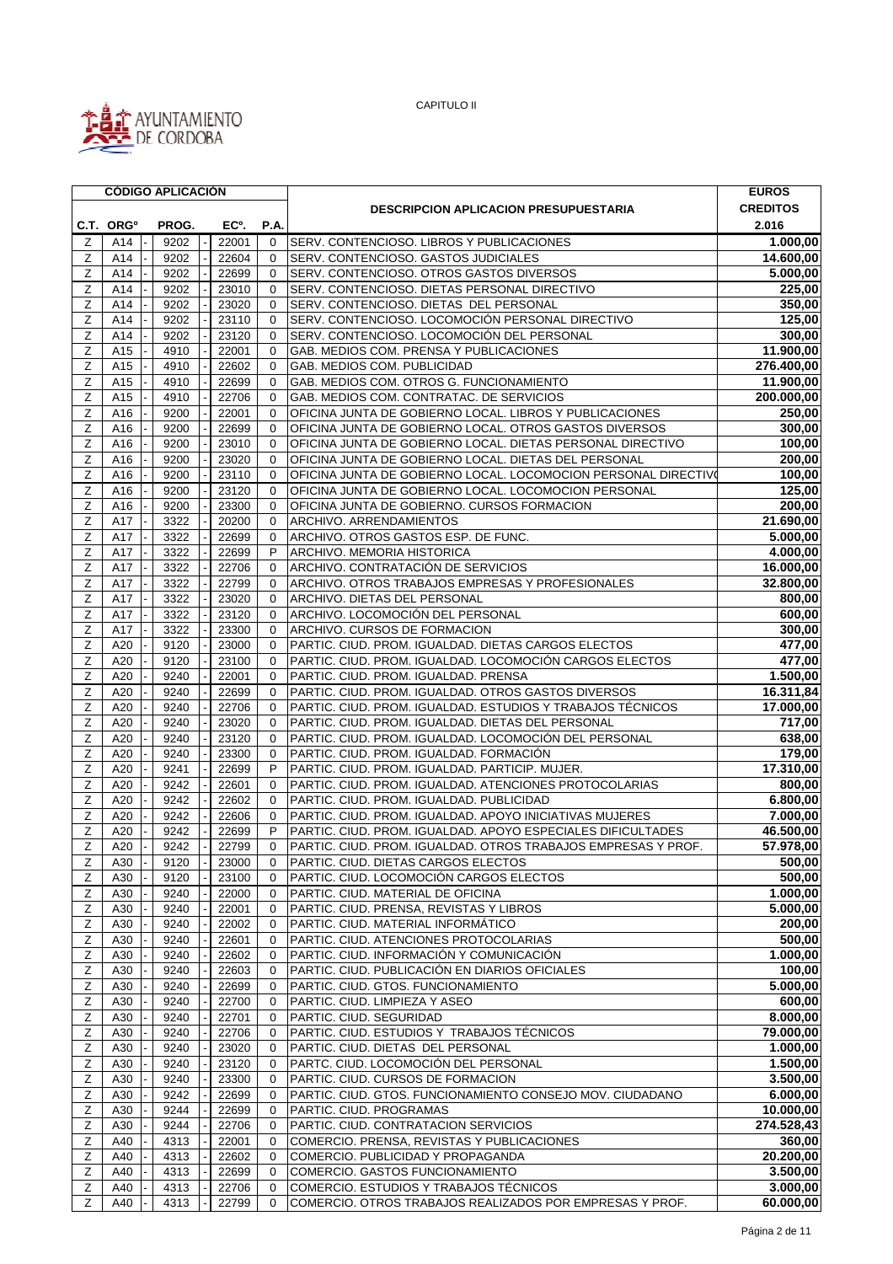

|                |                       | <b>CÓDIGO APLICACIÓN</b> |                   |             |                                                                | <b>EUROS</b>    |
|----------------|-----------------------|--------------------------|-------------------|-------------|----------------------------------------------------------------|-----------------|
|                |                       |                          |                   |             | <b>DESCRIPCION APLICACION PRESUPUESTARIA</b>                   | <b>CREDITOS</b> |
|                | C.T. ORG <sup>o</sup> | PROG.                    | EC <sup>o</sup> . | P.A.        |                                                                | 2.016           |
| Ζ              | A14                   | 9202                     | 22001             | $\Omega$    | SERV. CONTENCIOSO. LIBROS Y PUBLICACIONES                      | 1.000,00        |
| Ζ              | A14                   | 9202                     | 22604             | 0           | SERV. CONTENCIOSO. GASTOS JUDICIALES                           | 14.600,00       |
|                |                       |                          |                   |             |                                                                |                 |
| Ζ              | A14                   | 9202                     | 22699             | $\Omega$    | SERV. CONTENCIOSO. OTROS GASTOS DIVERSOS                       | 5.000,00        |
| Ζ              | A14                   | 9202                     | 23010             | $\mathbf 0$ | SERV. CONTENCIOSO. DIETAS PERSONAL DIRECTIVO                   | 225,00          |
| Ζ              | A14                   | 9202                     | 23020             | $\Omega$    | SERV. CONTENCIOSO. DIETAS DEL PERSONAL                         | 350,00          |
| Ζ              | A14                   | 9202                     | 23110             | $\mathbf 0$ | SERV. CONTENCIOSO. LOCOMOCIÓN PERSONAL DIRECTIVO               | 125,00          |
| Ζ              | A14                   | 9202                     | 23120             | 0           | SERV. CONTENCIOSO. LOCOMOCIÓN DEL PERSONAL                     | 300,00          |
| Z              | A15                   | 4910                     | 22001             | $\Omega$    | GAB. MEDIOS COM. PRENSA Y PUBLICACIONES                        | 11.900,00       |
| Ζ              | A15                   | 4910                     | 22602             | $\mathbf 0$ | GAB. MEDIOS COM. PUBLICIDAD                                    | 276.400,00      |
| Ζ              | A15                   | 4910                     | 22699             | $\Omega$    | GAB. MEDIOS COM. OTROS G. FUNCIONAMIENTO                       | 11.900,00       |
| Ζ              | A15                   | 4910                     | 22706             | $\mathbf 0$ | GAB. MEDIOS COM. CONTRATAC. DE SERVICIOS                       | 200.000,00      |
| Ζ              | A16                   | 9200                     | 22001             | $\Omega$    | OFICINA JUNTA DE GOBIERNO LOCAL. LIBROS Y PUBLICACIONES        | 250,00          |
|                |                       |                          |                   |             |                                                                |                 |
| Ζ              | A16                   | 9200                     | 22699             | $\mathbf 0$ | OFICINA JUNTA DE GOBIERNO LOCAL. OTROS GASTOS DIVERSOS         | 300,00          |
| Ζ              | A16                   | 9200                     | 23010             | 0           | OFICINA JUNTA DE GOBIERNO LOCAL. DIETAS PERSONAL DIRECTIVO     | 100,00          |
| Ζ              | A16                   | 9200                     | 23020             | 0           | OFICINA JUNTA DE GOBIERNO LOCAL. DIETAS DEL PERSONAL           | 200,00          |
| Ζ              | A16                   | 9200                     | 23110             | $\mathbf 0$ | OFICINA JUNTA DE GOBIERNO LOCAL. LOCOMOCION PERSONAL DIRECTIVO | 100,00          |
| Z              | A16                   | 9200                     | 23120             | $\mathbf 0$ | OFICINA JUNTA DE GOBIERNO LOCAL. LOCOMOCION PERSONAL           | 125,00          |
| Ζ              | A16                   | 9200                     | 23300             | $\mathbf 0$ | OFICINA JUNTA DE GOBIERNO. CURSOS FORMACION                    | 200,00          |
| Ζ              | A17                   | 3322                     | 20200             | $\Omega$    | <b>ARCHIVO, ARRENDAMIENTOS</b>                                 | 21.690,00       |
| Ζ              | A17                   | 3322                     | 22699             | 0           | ARCHIVO. OTROS GASTOS ESP. DE FUNC.                            | 5.000,00        |
| Ζ              | A17                   | 3322                     | 22699             | P           | <b>ARCHIVO, MEMORIA HISTORICA</b>                              | 4.000,00        |
|                | A17                   | 3322                     | 22706             | 0           | ARCHIVO. CONTRATACIÓN DE SERVICIOS                             | 16.000,00       |
| Z              |                       |                          |                   |             |                                                                |                 |
| Ζ              | A17                   | 3322                     | 22799             | 0           | ARCHIVO. OTROS TRABAJOS EMPRESAS Y PROFESIONALES               | 32.800,00       |
| Ζ              | A17                   | 3322                     | 23020             | 0           | ARCHIVO. DIETAS DEL PERSONAL                                   | 800,00          |
| Ζ              | A17                   | 3322                     | 23120             | $\mathbf 0$ | ARCHIVO. LOCOMOCIÓN DEL PERSONAL                               | 600,00          |
| Ζ              | A17                   | 3322                     | 23300             | $\Omega$    | ARCHIVO. CURSOS DE FORMACION                                   | 300,00          |
| Ζ              | A20                   | 9120                     | 23000             | 0           | PARTIC. CIUD. PROM. IGUALDAD. DIETAS CARGOS ELECTOS            | 477,00          |
| Ζ              | A20                   | 9120                     | 23100             | $\Omega$    | PARTIC. CIUD. PROM. IGUALDAD. LOCOMOCIÓN CARGOS ELECTOS        | 477,00          |
| $\overline{z}$ | A20                   | 9240                     | 22001             | $\mathbf 0$ | PARTIC. CIUD. PROM. IGUALDAD. PRENSA                           | 1.500,00        |
| Ζ              | A20                   | 9240                     | 22699             | $\Omega$    | PARTIC. CIUD. PROM. IGUALDAD. OTROS GASTOS DIVERSOS            | 16.311,84       |
| Ζ              | A20                   | 9240                     | 22706             | $\mathbf 0$ | PARTIC. CIUD. PROM. IGUALDAD. ESTUDIOS Y TRABAJOS TÉCNICOS     | 17.000,00       |
| Ζ              | A20                   | 9240                     | 23020             | 0           | PARTIC. CIUD. PROM. IGUALDAD. DIETAS DEL PERSONAL              | 717,00          |
|                | A20                   |                          | 23120             | $\Omega$    | PARTIC. CIUD. PROM. IGUALDAD. LOCOMOCIÓN DEL PERSONAL          |                 |
| Z              |                       | 9240                     |                   |             |                                                                | 638,00          |
| Z              | A20                   | 9240                     | 23300             | $\mathbf 0$ | PARTIC. CIUD. PROM. IGUALDAD. FORMACIÓN                        | 179,00          |
| Ζ              | A20                   | 9241                     | 22699             | P           | PARTIC, CIUD, PROM, IGUALDAD, PARTICIP, MUJER,                 | 17.310,00       |
| Z              | A20                   | 9242                     | 22601             | $\mathbf 0$ | PARTIC. CIUD. PROM. IGUALDAD. ATENCIONES PROTOCOLARIAS         | 800,00          |
| Ζ              | A20                   | 9242                     | 22602             | $\Omega$    | PARTIC. CIUD. PROM. IGUALDAD. PUBLICIDAD                       | 6.800,00        |
| Z              | A20                   | 9242                     | 22606             | 0           | PARTIC. CIUD. PROM. IGUALDAD. APOYO INICIATIVAS MUJERES        | 7.000,00        |
| Ζ              | A20                   | 9242                     | 22699             | P           | PARTIC. CIUD. PROM. IGUALDAD. APOYO ESPECIALES DIFICULTADES    | 46.500,00       |
| Ζ              | A20                   | 9242                     | 22799             | $\Omega$    | PARTIC. CIUD. PROM. IGUALDAD. OTROS TRABAJOS EMPRESAS Y PROF.  | 57.978,00       |
| $\angle$       | A30                   | 9120                     | 23000             | 0           | PARTIC. CIUD. DIETAS CARGOS ELECTOS                            | 500,00          |
| Z              | A30                   | 9120                     | 23100             | 0           | PARTIC. CIUD. LOCOMOCIÓN CARGOS ELECTOS                        | 500,00          |
|                |                       |                          |                   |             |                                                                | 1.000,00        |
| Z              | A30                   | 9240                     | 22000             | 0           | PARTIC. CIUD. MATERIAL DE OFICINA                              |                 |
| Z              | A30                   | 9240                     | 22001             | 0           | PARTIC. CIUD. PRENSA, REVISTAS Y LIBROS                        | 5.000,00        |
| Ζ              | A30                   | 9240                     | 22002             | 0           | PARTIC. CIUD. MATERIAL INFORMÁTICO                             | 200,00          |
| Ζ              | A30                   | 9240                     | 22601             | 0           | PARTIC. CIUD. ATENCIONES PROTOCOLARIAS                         | 500,00          |
| $\mathsf Z$    | A30                   | 9240                     | 22602             | 0           | PARTIC. CIUD. INFORMACIÓN Y COMUNICACIÓN                       | 1.000,00        |
| z              | A30                   | 9240                     | 22603             | 0           | PARTIC. CIUD. PUBLICACIÓN EN DIARIOS OFICIALES                 | 100,00          |
| Z              | A30                   | 9240                     | 22699             | 0           | PARTIC. CIUD. GTOS. FUNCIONAMIENTO                             | 5.000,00        |
| Z              | A30                   | 9240                     | 22700             | 0           | PARTIC. CIUD. LIMPIEZA Y ASEO                                  | 600,00          |
| Z              | A30                   | 9240                     | 22701             | 0           | PARTIC. CIUD. SEGURIDAD                                        | 8.000,00        |
| Ζ              | A30                   | 9240                     | 22706             | 0           | PARTIC. CIUD. ESTUDIOS Y TRABAJOS TÉCNICOS                     | 79.000,00       |
|                |                       |                          |                   |             |                                                                |                 |
| Z              | A30                   | 9240                     | 23020             | 0           | PARTIC. CIUD. DIETAS DEL PERSONAL                              | 1.000,00        |
| Z              | A30                   | 9240                     | 23120             | 0           | PARTC. CIUD. LOCOMOCIÓN DEL PERSONAL                           | 1.500,00        |
| Ζ              | A30                   | 9240                     | 23300             | 0           | PARTIC. CIUD. CURSOS DE FORMACION                              | 3.500,00        |
| Z              | A30                   | 9242                     | 22699             | 0           | PARTIC. CIUD. GTOS. FUNCIONAMIENTO CONSEJO MOV. CIUDADANO      | 6.000,00        |
| Z              | A30                   | 9244                     | 22699             | 0           | PARTIC. CIUD. PROGRAMAS                                        | 10.000,00       |
| Z              | A30                   | 9244                     | 22706             | 0           | PARTIC. CIUD. CONTRATACION SERVICIOS                           | 274.528,43      |
| Ζ              | A40                   | 4313                     | 22001             | 0           | COMERCIO. PRENSA, REVISTAS Y PUBLICACIONES                     | 360,00          |
| Ζ              | A40                   | 4313                     | 22602             | 0           | COMERCIO. PUBLICIDAD Y PROPAGANDA                              | 20.200,00       |
| Ζ              | A40                   | 4313                     | 22699             | 0           | COMERCIO. GASTOS FUNCIONAMIENTO                                | 3.500,00        |
| Z              | A40                   | 4313                     | 22706             | 0           | COMERCIO. ESTUDIOS Y TRABAJOS TÉCNICOS                         | 3.000,00        |
| Z              |                       |                          |                   | $\Omega$    |                                                                |                 |
|                | A40                   | 4313                     | 22799             |             | COMERCIO. OTROS TRABAJOS REALIZADOS POR EMPRESAS Y PROF.       | 60.000,00       |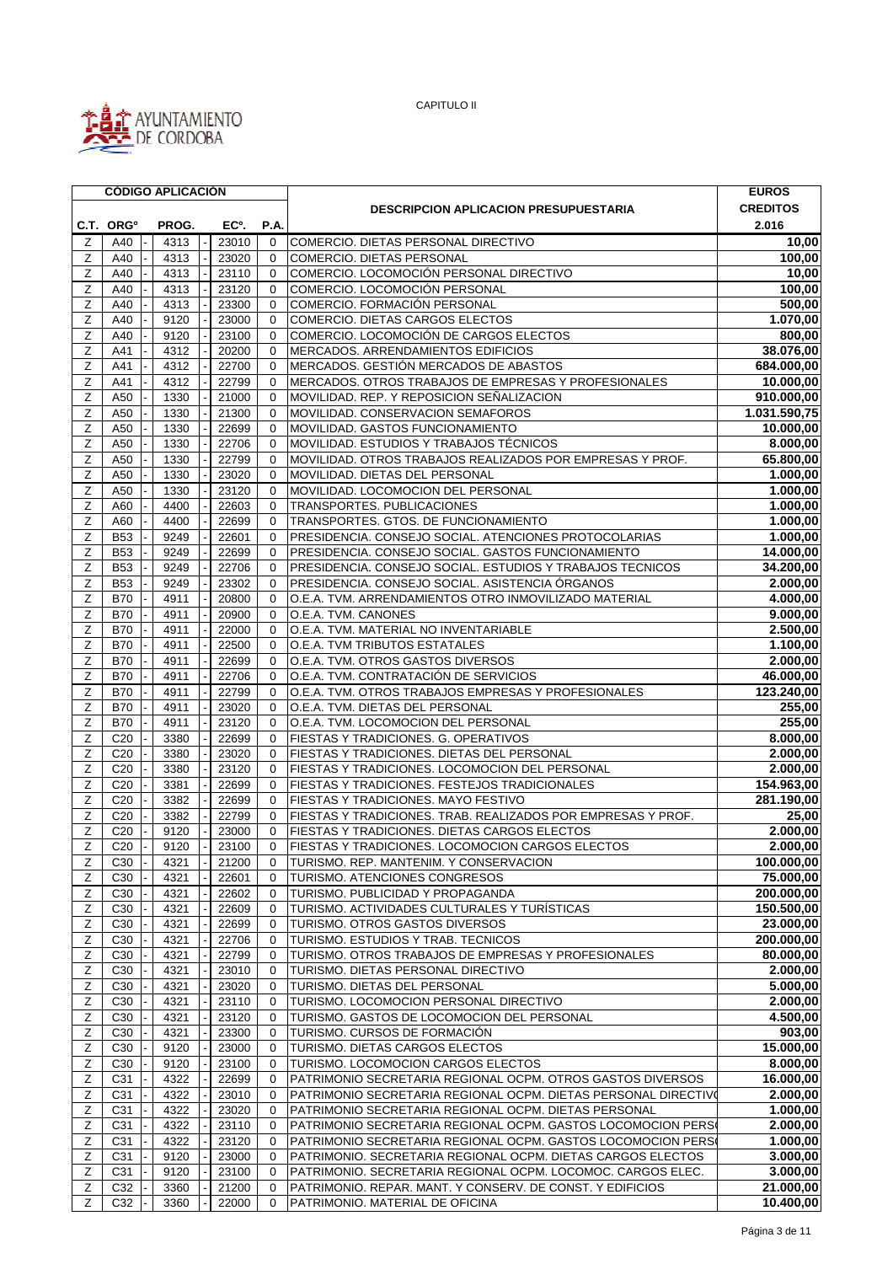

|                |                       | <b>CÓDIGO APLICACIÓN</b> |                   |              |                                                                                     | <b>EUROS</b>    |
|----------------|-----------------------|--------------------------|-------------------|--------------|-------------------------------------------------------------------------------------|-----------------|
|                |                       |                          |                   |              | <b>DESCRIPCION APLICACION PRESUPUESTARIA</b>                                        | <b>CREDITOS</b> |
|                | C.T. ORG <sup>o</sup> | PROG.                    | EC <sup>o</sup> . | P.A.         |                                                                                     | 2.016           |
| Ζ              | A40                   | 4313                     | 23010             | $\mathbf 0$  | COMERCIO. DIETAS PERSONAL DIRECTIVO                                                 | 10,00           |
| Ζ              | A40                   | 4313                     | 23020             | $\Omega$     | COMERCIO. DIETAS PERSONAL                                                           | 100,00          |
| Ζ              | A40                   | 4313                     | 23110             | $\mathbf 0$  | COMERCIO. LOCOMOCIÓN PERSONAL DIRECTIVO                                             | 10,00           |
| Ζ              | A40                   | 4313                     | 23120             | $\Omega$     | COMERCIO. LOCOMOCIÓN PERSONAL                                                       | 100,00          |
| Ζ              | A40                   | 4313                     | 23300             | $\mathbf 0$  | COMERCIO. FORMACIÓN PERSONAL                                                        | 500,00          |
| Ζ              | A40                   | 9120                     | 23000             | $\Omega$     | COMERCIO. DIETAS CARGOS ELECTOS                                                     | 1.070,00        |
| $\overline{z}$ |                       |                          | 23100             | $\Omega$     |                                                                                     | 800,00          |
|                | A40                   | 9120                     |                   |              | COMERCIO. LOCOMOCIÓN DE CARGOS ELECTOS<br><b>MERCADOS, ARRENDAMIENTOS EDIFICIOS</b> |                 |
| Ζ              | A41                   | 4312                     | 20200             | $\mathbf 0$  |                                                                                     | 38.076,00       |
| Ζ              | A41                   | 4312                     | 22700             | $\mathbf 0$  | MERCADOS. GESTIÓN MERCADOS DE ABASTOS                                               | 684.000,00      |
| Ζ              | A41                   | 4312                     | 22799             | $\mathbf 0$  | MERCADOS. OTROS TRABAJOS DE EMPRESAS Y PROFESIONALES                                | 10.000,00       |
| Ζ              | A50                   | 1330                     | 21000             | $\Omega$     | MOVILIDAD. REP. Y REPOSICION SEÑALIZACION                                           | 910.000,00      |
| Ζ              | A50                   | 1330                     | 21300             | $\mathbf 0$  | MOVILIDAD. CONSERVACION SEMAFOROS                                                   | 1.031.590,75    |
| Ζ              | A50                   | 1330                     | 22699             | $\Omega$     | MOVILIDAD. GASTOS FUNCIONAMIENTO                                                    | 10.000,00       |
| Ζ              | A50                   | 1330                     | 22706             | 0            | MOVILIDAD. ESTUDIOS Y TRABAJOS TÉCNICOS                                             | 8.000,00        |
| Z              | A50                   | 1330                     | 22799             | $\mathbf 0$  | MOVILIDAD. OTROS TRABAJOS REALIZADOS POR EMPRESAS Y PROF.                           | 65.800,00       |
| Ζ              | A50                   | 1330                     | 23020             | $\mathbf 0$  | MOVILIDAD, DIETAS DEL PERSONAL                                                      | 1.000,00        |
| Ζ              | A50                   | 1330                     | 23120             | $\Omega$     | MOVILIDAD. LOCOMOCION DEL PERSONAL                                                  | 1.000,00        |
| Ζ              | A60                   | 4400                     | 22603             | $\mathbf 0$  | TRANSPORTES. PUBLICACIONES                                                          | 1.000,00        |
| Ζ              | A60                   | 4400                     | 22699             | $\mathbf 0$  | TRANSPORTES. GTOS. DE FUNCIONAMIENTO                                                | 1.000,00        |
| Ζ              | <b>B53</b>            | 9249                     | 22601             | $\Omega$     | PRESIDENCIA. CONSEJO SOCIAL. ATENCIONES PROTOCOLARIAS                               | 1.000,00        |
| Ζ              | <b>B53</b>            | 9249                     | 22699             | 0            | PRESIDENCIA. CONSEJO SOCIAL. GASTOS FUNCIONAMIENTO                                  | 14.000,00       |
| Ζ              | <b>B53</b>            | 9249                     | 22706             | 0            | PRESIDENCIA. CONSEJO SOCIAL. ESTUDIOS Y TRABAJOS TECNICOS                           | 34.200,00       |
| Ζ              | <b>B53</b>            | 9249                     | 23302             | $\Omega$     | PRESIDENCIA. CONSEJO SOCIAL. ASISTENCIA ÓRGANOS                                     | 2.000,00        |
| Ζ              | <b>B70</b>            | 4911                     | 20800             | $\Omega$     | O.E.A. TVM. ARRENDAMIENTOS OTRO INMOVILIZADO MATERIAL                               | 4.000,00        |
| Ζ              | <b>B70</b>            | 4911                     | 20900             | $\mathbf 0$  | O.E.A. TVM. CANONES                                                                 | 9.000,00        |
| Ζ              | <b>B70</b>            | 4911                     | 22000             | $\mathbf 0$  | O.E.A. TVM. MATERIAL NO INVENTARIABLE                                               | 2.500,00        |
| Ζ              | <b>B70</b>            | 4911                     | 22500             | $\Omega$     | O.E.A. TVM TRIBUTOS ESTATALES                                                       | 1.100,00        |
|                | <b>B70</b>            |                          |                   | $\mathbf 0$  |                                                                                     |                 |
| Ζ              |                       | 4911                     | 22699             |              | O.E.A. TVM. OTROS GASTOS DIVERSOS                                                   | 2.000,00        |
| Ζ              | <b>B70</b>            | 4911                     | 22706             | $\Omega$     | O.E.A. TVM. CONTRATACIÓN DE SERVICIOS                                               | 46.000,00       |
| Ζ              | <b>B70</b>            | 4911                     | 22799             | $\mathbf 0$  | O.E.A. TVM. OTROS TRABAJOS EMPRESAS Y PROFESIONALES                                 | 123.240,00      |
| Ζ              | <b>B70</b>            | 4911                     | 23020             | $\Omega$     | O.E.A. TVM. DIETAS DEL PERSONAL                                                     | 255,00          |
| Ζ              | <b>B70</b>            | 4911                     | 23120             | 0            | O.E.A. TVM. LOCOMOCION DEL PERSONAL                                                 | 255,00          |
| Ζ              | C <sub>20</sub>       | 3380                     | 22699             | 0            | FIESTAS Y TRADICIONES. G. OPERATIVOS                                                | 8.000,00        |
| Ζ              | C <sub>20</sub>       | 3380                     | 23020             | $\Omega$     | FIESTAS Y TRADICIONES. DIETAS DEL PERSONAL                                          | 2.000,00        |
| Ζ              | C <sub>20</sub>       | 3380                     | 23120             | $\mathbf 0$  | FIESTAS Y TRADICIONES. LOCOMOCION DEL PERSONAL                                      | 2.000,00        |
| Ζ              | C <sub>20</sub>       | 3381                     | 22699             | $\Omega$     | FIESTAS Y TRADICIONES. FESTEJOS TRADICIONALES                                       | 154.963,00      |
| Ζ              | C <sub>20</sub>       | 3382                     | 22699             | $\mathbf 0$  | FIESTAS Y TRADICIONES. MAYO FESTIVO                                                 | 281.190,00      |
| Ζ              | C <sub>20</sub>       | 3382                     | 22799             | $\Omega$     | FIESTAS Y TRADICIONES. TRAB. REALIZADOS POR EMPRESAS Y PROF.                        | 25,00           |
| Ζ              | C <sub>20</sub>       | 9120                     | 23000             | 0            | FIESTAS Y TRADICIONES. DIETAS CARGOS ELECTOS                                        | 2.000,00        |
| Z              | C <sub>20</sub>       | 9120                     | 23100             | $\Omega$     | FIESTAS Y TRADICIONES. LOCOMOCION CARGOS ELECTOS                                    | 2.000,00        |
| Ζ              | C <sub>30</sub>       | 4321                     | 21200             | 0            | TURISMO. REP. MANTENIM. Y CONSERVACION                                              | 100.000,00      |
| Ζ              | C <sub>30</sub>       | 4321                     | 22601             | 0            | TURISMO. ATENCIONES CONGRESOS                                                       | 75.000,00       |
| Z              | C <sub>30</sub>       | 4321                     | 22602             | 0            | TURISMO. PUBLICIDAD Y PROPAGANDA                                                    | 200.000,00      |
| Ζ              | C <sub>30</sub>       | 4321                     | 22609             | 0            | TURISMO. ACTIVIDADES CULTURALES Y TURÍSTICAS                                        | 150.500,00      |
| Ζ              | C <sub>30</sub>       | 4321                     | 22699             | 0            | TURISMO. OTROS GASTOS DIVERSOS                                                      | 23.000,00       |
| Z              | C30                   | 4321                     | 22706             | 0            | TURISMO. ESTUDIOS Y TRAB. TECNICOS                                                  | 200.000,00      |
| Ζ              | C <sub>30</sub>       | 4321                     | 22799             | $\mathbf 0$  | TURISMO. OTROS TRABAJOS DE EMPRESAS Y PROFESIONALES                                 | 80.000,00       |
| Z              | C <sub>30</sub>       | 4321                     | 23010             | 0            | TURISMO. DIETAS PERSONAL DIRECTIVO                                                  | 2.000,00        |
|                |                       |                          |                   |              |                                                                                     | 5.000,00        |
| Ζ              | C <sub>30</sub>       | 4321                     | 23020             | 0            | TURISMO. DIETAS DEL PERSONAL                                                        | 2.000,00        |
| Z              | C <sub>30</sub>       | 4321                     | 23110             | 0            | TURISMO. LOCOMOCION PERSONAL DIRECTIVO                                              |                 |
| Ζ              | C <sub>30</sub>       | 4321                     | 23120             | 0            | TURISMO. GASTOS DE LOCOMOCION DEL PERSONAL                                          | 4.500,00        |
| Ζ              | C30                   | 4321                     | 23300             | 0            | TURISMO. CURSOS DE FORMACIÓN                                                        | 903,00          |
| Ζ              | C <sub>30</sub>       | 9120                     | 23000             | 0            | TURISMO. DIETAS CARGOS ELECTOS                                                      | 15.000,00       |
| Z              | C30                   | 9120                     | 23100             | 0            | TURISMO. LOCOMOCION CARGOS ELECTOS                                                  | 8.000,00        |
| Ζ              | C31                   | 4322                     | 22699             | $\mathbf 0$  | PATRIMONIO SECRETARIA REGIONAL OCPM. OTROS GASTOS DIVERSOS                          | 16.000,00       |
| Ζ              | C31                   | 4322                     | 23010             | 0            | PATRIMONIO SECRETARIA REGIONAL OCPM. DIETAS PERSONAL DIRECTIVO                      | 2.000,00        |
| Ζ              | C31                   | 4322                     | 23020             | 0            | PATRIMONIO SECRETARIA REGIONAL OCPM. DIETAS PERSONAL                                | 1.000,00        |
| Ζ              | C31                   | 4322                     | 23110             | 0            | PATRIMONIO SECRETARIA REGIONAL OCPM. GASTOS LOCOMOCION PERS                         | 2.000,00        |
| Z              | C31                   | 4322                     | 23120             | 0            | PATRIMONIO SECRETARIA REGIONAL OCPM. GASTOS LOCOMOCION PERS                         | 1.000,00        |
| Ζ              | C31                   | 9120                     | 23000             | 0            | PATRIMONIO. SECRETARIA REGIONAL OCPM. DIETAS CARGOS ELECTOS                         | 3.000,00        |
| Ζ              | C31                   | 9120                     | 23100             | 0            | PATRIMONIO. SECRETARIA REGIONAL OCPM. LOCOMOC. CARGOS ELEC.                         | 3.000,00        |
| Ζ              | C32                   | 3360                     | 21200             | $\mathbf 0$  | PATRIMONIO. REPAR. MANT. Y CONSERV. DE CONST. Y EDIFICIOS                           | 21.000,00       |
| Z              | C32                   | 3360                     | 22000             | $\mathbf{0}$ | PATRIMONIO. MATERIAL DE OFICINA                                                     | 10.400,00       |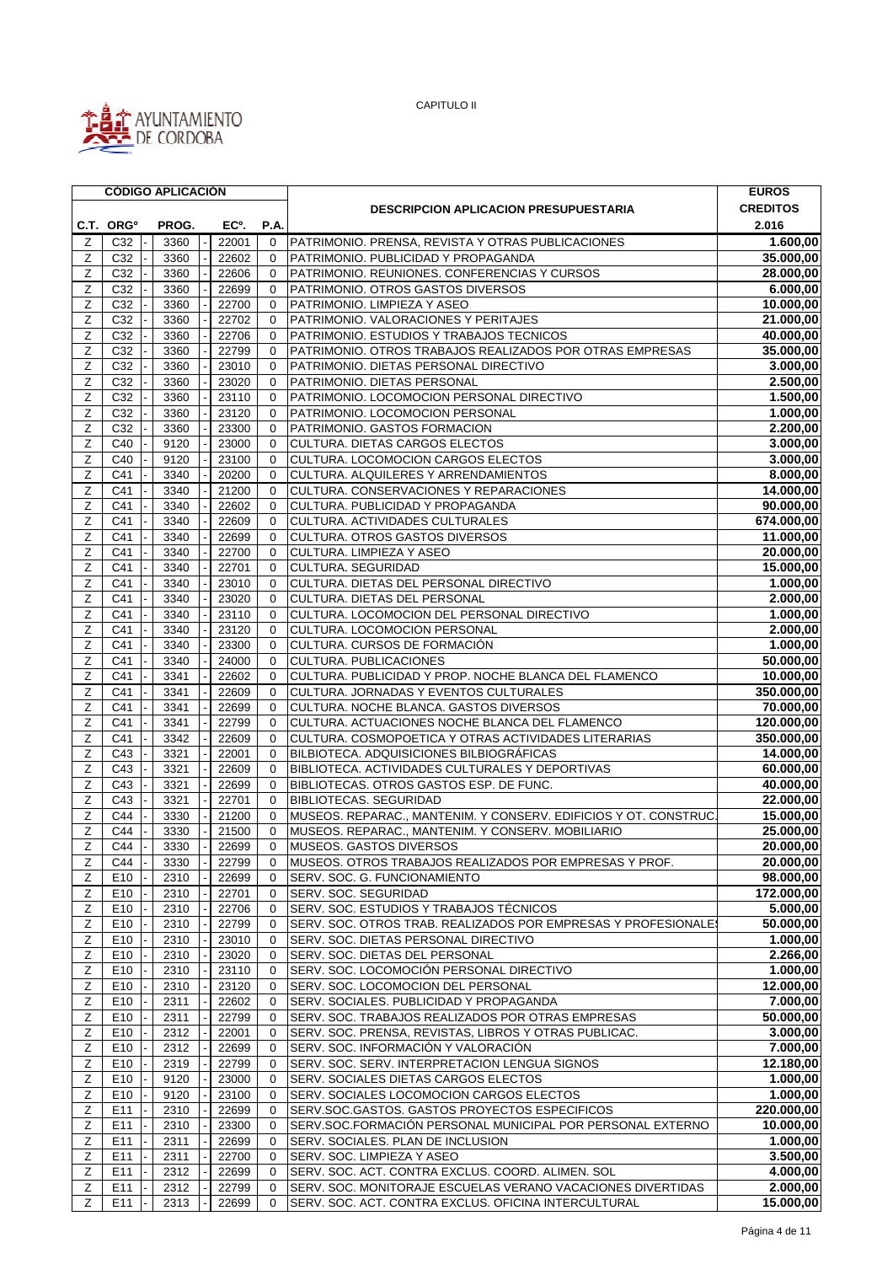

|                |                       | <b>CÓDIGO APLICACIÓN</b> |                   |             |                                                                      | <b>EUROS</b>         |
|----------------|-----------------------|--------------------------|-------------------|-------------|----------------------------------------------------------------------|----------------------|
|                |                       |                          |                   |             | <b>DESCRIPCION APLICACION PRESUPUESTARIA</b>                         | <b>CREDITOS</b>      |
|                | C.T. ORG <sup>o</sup> | PROG.                    | EC <sup>o</sup> . | P.A.        |                                                                      | 2.016                |
| Ζ              | C <sub>32</sub>       | 3360                     | 22001             | $\mathbf 0$ | PATRIMONIO. PRENSA, REVISTA Y OTRAS PUBLICACIONES                    | 1.600,00             |
| Ζ              | C32                   | 3360                     | 22602             | $\Omega$    | PATRIMONIO. PUBLICIDAD Y PROPAGANDA                                  | 35.000,00            |
| Ζ              | C32                   | 3360                     | 22606             | 0           | PATRIMONIO. REUNIONES. CONFERENCIAS Y CURSOS                         | 28.000,00            |
| Ζ              | C32                   | 3360                     | 22699             | 0           | PATRIMONIO. OTROS GASTOS DIVERSOS                                    | 6.000,00             |
| Ζ              | C32                   | 3360                     | 22700             | $\mathbf 0$ | PATRIMONIO. LIMPIEZA Y ASEO                                          | 10.000,00            |
| Ζ              | C32                   | 3360                     | 22702             | $\mathbf 0$ | PATRIMONIO. VALORACIONES Y PERITAJES                                 | 21.000,00            |
| Ζ              | C32                   | 3360                     | 22706             | $\mathbf 0$ | PATRIMONIO. ESTUDIOS Y TRABAJOS TECNICOS                             | 40.000,00            |
| Ζ              | C32                   | 3360                     | 22799             | $\mathbf 0$ | PATRIMONIO. OTROS TRABAJOS REALIZADOS POR OTRAS EMPRESAS             | 35.000,00            |
|                |                       |                          | 23010             | $\Omega$    |                                                                      |                      |
| Ζ              | C32<br>C32            | 3360                     | 23020             |             | PATRIMONIO. DIETAS PERSONAL DIRECTIVO<br>PATRIMONIO. DIETAS PERSONAL | 3.000,00<br>2.500,00 |
| Ζ              |                       | 3360                     |                   | 0           |                                                                      |                      |
| Ζ              | C32                   | 3360                     | 23110             | $\Omega$    | PATRIMONIO, LOCOMOCION PERSONAL DIRECTIVO                            | 1.500,00             |
| Ζ              | C32                   | 3360                     | 23120             | $\Omega$    | PATRIMONIO. LOCOMOCION PERSONAL                                      | 1.000,00             |
| Ζ              | C32                   | 3360                     | 23300             | 0           | PATRIMONIO. GASTOS FORMACION                                         | 2.200,00             |
| Ζ              | C40                   | 9120                     | 23000             | $\mathbf 0$ | CULTURA. DIETAS CARGOS ELECTOS                                       | 3.000,00             |
| Ζ              | C40                   | 9120                     | 23100             | $\mathbf 0$ | CULTURA. LOCOMOCION CARGOS ELECTOS                                   | 3.000,00             |
| Ζ              | C41                   | 3340                     | 20200             | $\Omega$    | CULTURA. ALQUILERES Y ARRENDAMIENTOS                                 | 8.000,00             |
| Ζ              | C41                   | 3340                     | 21200             | 0           | CULTURA. CONSERVACIONES Y REPARACIONES                               | 14.000,00            |
| Ζ              | C41                   | 3340                     | 22602             | $\mathbf 0$ | CULTURA. PUBLICIDAD Y PROPAGANDA                                     | 90.000,00            |
| $\overline{z}$ | C41                   | 3340                     | 22609             | $\mathbf 0$ | CULTURA. ACTIVIDADES CULTURALES                                      | 674.000,00           |
| Ζ              | C41                   | 3340                     | 22699             | $\Omega$    | CULTURA. OTROS GASTOS DIVERSOS                                       | 11.000,00            |
| Ζ              | C41                   | 3340                     | 22700             | $\mathbf 0$ | CULTURA. LIMPIEZA Y ASEO                                             | 20.000,00            |
| z              | C41                   | 3340                     | 22701             | 0           | <b>CULTURA. SEGURIDAD</b>                                            | 15.000,00            |
| Ζ              | C41                   | 3340                     | 23010             | $\Omega$    | CULTURA. DIETAS DEL PERSONAL DIRECTIVO                               | 1.000,00             |
| Ζ              | C41                   | 3340                     | 23020             | $\mathbf 0$ | CULTURA. DIETAS DEL PERSONAL                                         | 2.000,00             |
| Ζ              | C41                   | 3340                     | 23110             | $\Omega$    | CULTURA. LOCOMOCION DEL PERSONAL DIRECTIVO                           | 1.000,00             |
| Ζ              | C41                   | 3340                     | 23120             | $\mathbf 0$ | <b>CULTURA. LOCOMOCION PERSONAL</b>                                  | 2.000,00             |
| Ζ              | C41                   | 3340                     | 23300             | $\Omega$    | CULTURA. CURSOS DE FORMACIÓN                                         | 1.000,00             |
| $\overline{z}$ | C41                   | 3340                     | 24000             | $\mathbf 0$ | CULTURA. PUBLICACIONES                                               | 50.000,00            |
| Ζ              | C41                   | 3341                     | 22602             | $\mathbf 0$ | CULTURA. PUBLICIDAD Y PROP. NOCHE BLANCA DEL FLAMENCO                | 10.000,00            |
| Ζ              | C41                   | 3341                     | 22609             | $\mathbf 0$ | CULTURA. JORNADAS Y EVENTOS CULTURALES                               | 350.000,00           |
| Ζ              | C41                   | 3341                     | 22699             | $\mathbf 0$ | CULTURA. NOCHE BLANCA. GASTOS DIVERSOS                               | 70.000,00            |
| Ζ              | C41                   | 3341                     | 22799             | $\Omega$    | CULTURA. ACTUACIONES NOCHE BLANCA DEL FLAMENCO                       | 120.000,00           |
| Ζ              | C41                   | 3342                     | 22609             | $\mathbf 0$ | CULTURA. COSMOPOETICA Y OTRAS ACTIVIDADES LITERARIAS                 | 350.000,00           |
| Ζ              | C43                   | 3321                     | 22001             | $\Omega$    | BILBIOTECA. ADQUISICIONES BILBIOGRÁFICAS                             | 14.000,00            |
| Ζ              | C43                   | 3321                     | 22609             | 0           | BIBLIOTECA. ACTIVIDADES CULTURALES Y DEPORTIVAS                      | 60.000,00            |
| Ζ              | C43                   | 3321                     | 22699             | $\mathbf 0$ | BIBLIOTECAS. OTROS GASTOS ESP. DE FUNC.                              | 40.000,00            |
| Ζ              | C43                   | 3321                     | 22701             | $\mathbf 0$ | <b>BIBLIOTECAS. SEGURIDAD</b>                                        | 22.000,00            |
| Ζ              | C44                   | 3330                     | 21200             | 0           | MUSEOS. REPARAC., MANTENIM. Y CONSERV. EDIFICIOS Y OT. CONSTRUC.     | 15.000,00            |
| Ζ              | C44                   | 3330                     | 21500             | 0           | MUSEOS. REPARAC., MANTENIM. Y CONSERV. MOBILIARIO                    | 25.000,00            |
| Ζ              | C44                   | 3330                     | 22699             | $\Omega$    | <b>MUSEOS. GASTOS DIVERSOS</b>                                       | 20.000,00            |
|                | C44                   | 3330                     | 22799             |             | MUSEOS. OTROS TRABAJOS REALIZADOS POR EMPRESAS Y PROF.               | 20.000,00            |
| Ζ<br>Ζ         | E <sub>10</sub>       | 2310                     | 22699             | 0<br>0      | SERV. SOC. G. FUNCIONAMIENTO                                         | 98.000,00            |
|                |                       |                          |                   |             | SERV. SOC. SEGURIDAD                                                 | 172.000,00           |
| Ζ              | E10                   | 2310                     | 22701             | 0           |                                                                      |                      |
| Ζ              | E <sub>10</sub>       | 2310                     | 22706             | 0           | SERV. SOC. ESTUDIOS Y TRABAJOS TÉCNICOS                              | 5.000,00             |
| Ζ              | E10                   | 2310                     | 22799             | 0           | SERV. SOC. OTROS TRAB. REALIZADOS POR EMPRESAS Y PROFESIONALE        | 50.000,00            |
| Z              | E <sub>10</sub>       | 2310                     | 23010             | 0           | SERV. SOC. DIETAS PERSONAL DIRECTIVO                                 | 1.000,00             |
| Ζ              | E10                   | 2310                     | 23020             | 0           | SERV. SOC. DIETAS DEL PERSONAL                                       | 2.266,00             |
| Ζ              | E10                   | 2310                     | 23110             | 0           | SERV. SOC. LOCOMOCIÓN PERSONAL DIRECTIVO                             | 1.000,00             |
| Ζ              | E10                   | 2310                     | 23120             | 0           | SERV. SOC. LOCOMOCION DEL PERSONAL                                   | 12.000,00            |
| Ζ              | E10                   | 2311                     | 22602             | 0           | SERV. SOCIALES. PUBLICIDAD Y PROPAGANDA                              | 7.000,00             |
| Z              | E <sub>10</sub>       | 2311                     | 22799             | 0           | SERV. SOC. TRABAJOS REALIZADOS POR OTRAS EMPRESAS                    | 50.000,00            |
| Ζ              | E10                   | 2312                     | 22001             | 0           | SERV. SOC. PRENSA, REVISTAS, LIBROS Y OTRAS PUBLICAC.                | 3.000,00             |
| Ζ              | E10                   | 2312                     | 22699             | 0           | SERV. SOC. INFORMACIÓN Y VALORACIÓN                                  | 7.000,00             |
| Z              | E10                   | 2319                     | 22799             | 0           | SERV. SOC. SERV. INTERPRETACION LENGUA SIGNOS                        | 12.180,00            |
| Ζ              | E <sub>10</sub>       | 9120                     | 23000             | 0           | SERV. SOCIALES DIETAS CARGOS ELECTOS                                 | 1.000,00             |
| Ζ              | E <sub>10</sub>       | 9120                     | 23100             | 0           | SERV. SOCIALES LOCOMOCION CARGOS ELECTOS                             | 1.000,00             |
| Ζ              | E11                   | 2310                     | 22699             | 0           | SERV.SOC.GASTOS. GASTOS PROYECTOS ESPECIFICOS                        | 220.000,00           |
| Z              | E11                   | 2310                     | 23300             | 0           | SERV.SOC.FORMACIÓN PERSONAL MUNICIPAL POR PERSONAL EXTERNO           | 10.000,00            |
| Ζ              | E11                   | 2311                     | 22699             | 0           | SERV. SOCIALES. PLAN DE INCLUSION                                    | 1.000,00             |
| Ζ              | E11                   | 2311                     | 22700             | 0           | SERV. SOC. LIMPIEZA Y ASEO                                           | 3.500,00             |
| Ζ              | E <sub>11</sub>       | 2312                     | 22699             | 0           | SERV. SOC. ACT. CONTRA EXCLUS. COORD. ALIMEN. SOL                    | 4.000,00             |
| Ζ              | E11                   | 2312                     | 22799             | $\Omega$    | SERV. SOC. MONITORAJE ESCUELAS VERANO VACACIONES DIVERTIDAS          | 2.000,00             |
| Ζ              | E11                   | 2313                     | 22699             | 0           | SERV. SOC. ACT. CONTRA EXCLUS. OFICINA INTERCULTURAL                 | 15.000,00            |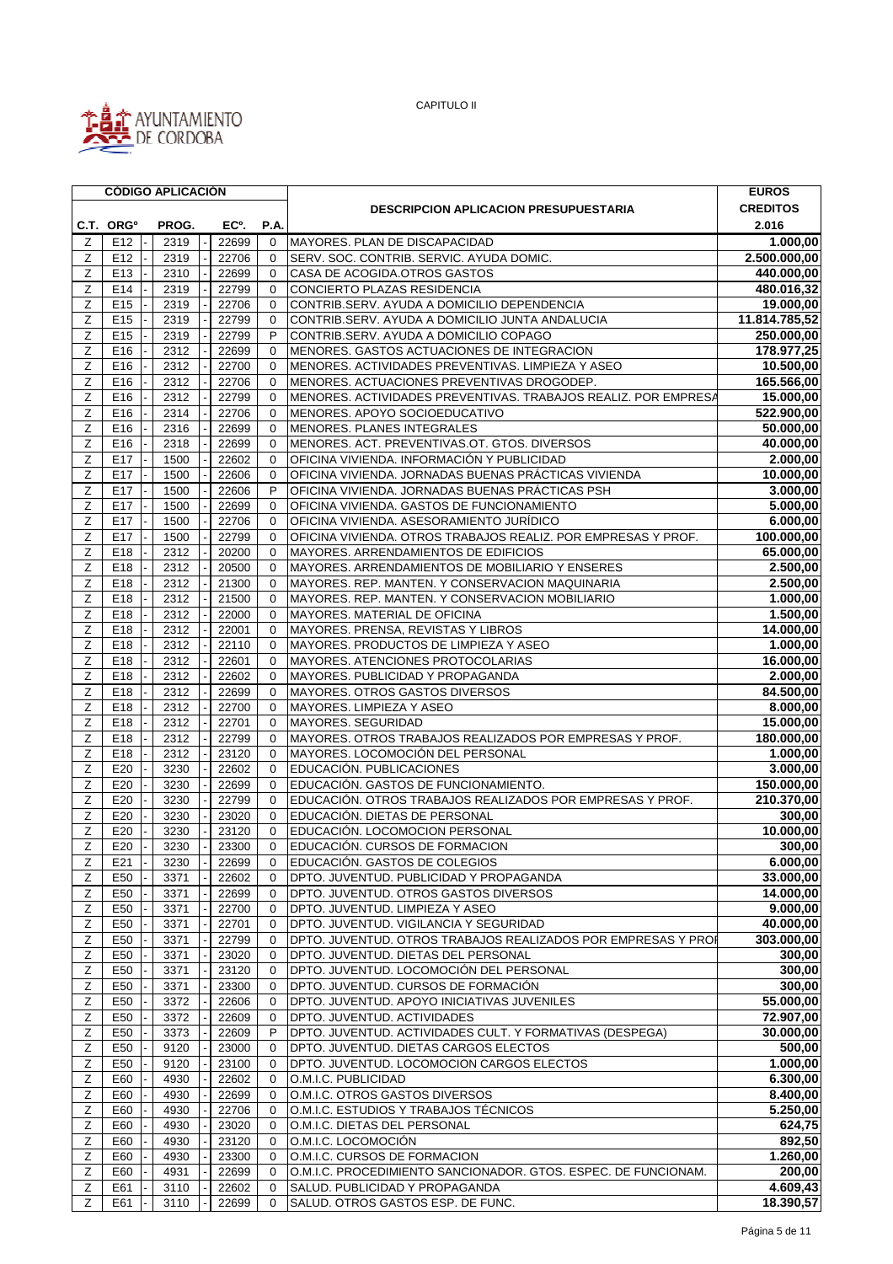

|                |                       | <b>CÓDIGO APLICACIÓN</b> |                   |             |                                                                | <b>EUROS</b>    |
|----------------|-----------------------|--------------------------|-------------------|-------------|----------------------------------------------------------------|-----------------|
|                |                       |                          |                   |             | <b>DESCRIPCION APLICACION PRESUPUESTARIA</b>                   | <b>CREDITOS</b> |
|                | C.T. ORG <sup>o</sup> | PROG.                    | EC <sup>o</sup> . | P.A.        |                                                                | 2.016           |
| Ζ              | E12                   | 2319                     | 22699             | $\Omega$    | MAYORES. PLAN DE DISCAPACIDAD                                  | 1.000,00        |
| Z              | E12                   | 2319                     | 22706             | 0           | SERV. SOC. CONTRIB. SERVIC. AYUDA DOMIC.                       | 2.500.000,00    |
| $\overline{z}$ | E13                   | 2310                     | 22699             | $\mathbf 0$ | CASA DE ACOGIDA.OTROS GASTOS                                   | 440.000,00      |
| Ζ              | E14                   | 2319                     | 22799             | $\mathbf 0$ | CONCIERTO PLAZAS RESIDENCIA                                    | 480.016,32      |
|                | E <sub>15</sub>       |                          | 22706             | $\Omega$    | CONTRIB.SERV. AYUDA A DOMICILIO DEPENDENCIA                    |                 |
| Ζ              |                       | 2319                     |                   |             |                                                                | 19.000,00       |
| $\overline{z}$ | E <sub>15</sub>       | 2319                     | 22799             | $\mathbf 0$ | CONTRIB.SERV. AYUDA A DOMICILIO JUNTA ANDALUCIA                | 11.814.785,52   |
| Ζ              | E15                   | 2319                     | 22799             | P           | CONTRIB.SERV. AYUDA A DOMICILIO COPAGO                         | 250.000,00      |
| Ζ              | E16                   | 2312                     | 22699             | $\mathbf 0$ | MENORES. GASTOS ACTUACIONES DE INTEGRACION                     | 178.977,25      |
| Ζ              | E16                   | 2312                     | 22700             | $\mathbf 0$ | MENORES. ACTIVIDADES PREVENTIVAS. LIMPIEZA Y ASEO              | 10.500,00       |
| Ζ              | E16                   | 2312                     | 22706             | $\mathbf 0$ | MENORES. ACTUACIONES PREVENTIVAS DROGODEP.                     | 165.566,00      |
| Ζ              | E16                   | 2312                     | 22799             | $\mathbf 0$ | MENORES. ACTIVIDADES PREVENTIVAS. TRABAJOS REALIZ. POR EMPRESA | 15.000,00       |
| Ζ              | E16                   | 2314                     | 22706             | $\Omega$    | MENORES. APOYO SOCIOEDUCATIVO                                  | 522.900,00      |
| Ζ              | E16                   | 2316                     | 22699             | 0           | MENORES. PLANES INTEGRALES                                     | 50.000,00       |
| Ζ              | E16                   | 2318                     | 22699             | $\mathbf 0$ | MENORES. ACT. PREVENTIVAS.OT. GTOS. DIVERSOS                   | 40.000,00       |
| Ζ              | E17                   | 1500                     | 22602             | $\Omega$    | OFICINA VIVIENDA. INFORMACIÓN Y PUBLICIDAD                     | 2.000,00        |
| Ζ              | E <sub>17</sub>       | 1500                     | 22606             | $\mathbf 0$ | OFICINA VIVIENDA. JORNADAS BUENAS PRÁCTICAS VIVIENDA           | 10.000,00       |
| Ζ              | E17                   | 1500                     | 22606             | P           | OFICINA VIVIENDA. JORNADAS BUENAS PRÁCTICAS PSH                | 3.000,00        |
| Ζ              | E <sub>17</sub>       | 1500                     | 22699             | $\mathbf 0$ | OFICINA VIVIENDA. GASTOS DE FUNCIONAMIENTO                     | 5.000,00        |
| Ζ              | E17                   | 1500                     | 22706             | $\mathbf 0$ | OFICINA VIVIENDA. ASESORAMIENTO JURÍDICO                       | 6.000,00        |
| Ζ              | E17                   | 1500                     | 22799             | $\mathbf 0$ | OFICINA VIVIENDA. OTROS TRABAJOS REALIZ. POR EMPRESAS Y PROF.  | 100.000,00      |
| Ζ              | E18                   | 2312                     | 20200             | $\Omega$    | MAYORES. ARRENDAMIENTOS DE EDIFICIOS                           | 65.000,00       |
|                |                       |                          |                   |             |                                                                |                 |
| Z              | E18                   | 2312                     | 20500             | 0           | MAYORES. ARRENDAMIENTOS DE MOBILIARIO Y ENSERES                | 2.500,00        |
| Ζ              | E18                   | 2312                     | 21300             | $\Omega$    | MAYORES. REP. MANTEN. Y CONSERVACION MAQUINARIA                | 2.500,00        |
| Ζ              | E18                   | 2312                     | 21500             | 0           | MAYORES. REP. MANTEN. Y CONSERVACION MOBILIARIO                | 1.000,00        |
| Ζ              | E <sub>18</sub>       | 2312                     | 22000             | 0           | MAYORES. MATERIAL DE OFICINA                                   | 1.500,00        |
| Ζ              | E18                   | 2312                     | 22001             | $\mathbf 0$ | MAYORES. PRENSA, REVISTAS Y LIBROS                             | 14.000,00       |
| Ζ              | E18                   | 2312                     | 22110             | $\mathbf 0$ | MAYORES. PRODUCTOS DE LIMPIEZA Y ASEO                          | 1.000,00        |
| Ζ              | E18                   | 2312                     | 22601             | $\mathbf 0$ | <b>MAYORES. ATENCIONES PROTOCOLARIAS</b>                       | 16.000,00       |
| Ζ              | E18                   | 2312                     | 22602             | $\mathbf 0$ | MAYORES. PUBLICIDAD Y PROPAGANDA                               | 2.000,00        |
| Ζ              | E18                   | 2312                     | 22699             | $\mathbf 0$ | MAYORES. OTROS GASTOS DIVERSOS                                 | 84.500,00       |
| $\overline{z}$ | E18                   | 2312                     | 22700             | 0           | <b>MAYORES. LIMPIEZA Y ASEO</b>                                | 8.000,00        |
| Ζ              | E18                   | 2312                     | 22701             | $\mathbf 0$ | MAYORES. SEGURIDAD                                             | 15.000,00       |
| Ζ              | E18                   | 2312                     | 22799             | $\Omega$    | MAYORES. OTROS TRABAJOS REALIZADOS POR EMPRESAS Y PROF.        | 180.000,00      |
| Ζ              | E <sub>18</sub>       | 2312                     | 23120             | $\Omega$    | MAYORES. LOCOMOCIÓN DEL PERSONAL                               | 1.000,00        |
| Ζ              | E20                   | 3230                     | 22602             | $\mathbf 0$ | EDUCACIÓN. PUBLICACIONES                                       | 3.000,00        |
| Ζ              | E20                   | 3230                     | 22699             | $\mathbf 0$ | EDUCACIÓN. GASTOS DE FUNCIONAMIENTO.                           | 150.000,00      |
| Ζ              | E20                   | 3230                     | 22799             | $\Omega$    | EDUCACIÓN, OTROS TRABAJOS REALIZADOS POR EMPRESAS Y PROF.      | 210.370,00      |
| Ζ              | E20                   | 3230                     | 23020             | 0           | EDUCACIÓN. DIETAS DE PERSONAL                                  | 300,00          |
| Ζ              | E20                   | 3230                     | 23120             | $\mathbf 0$ | EDUCACIÓN. LOCOMOCION PERSONAL                                 | 10.000,00       |
| Z              | E20                   | 3230                     | 23300             | $\Omega$    | EDUCACIÓN. CURSOS DE FORMACION                                 | 300,00          |
|                |                       |                          |                   |             |                                                                |                 |
| Ζ              | E21                   | 3230                     | 22699             | 0           | EDUCACION. GASTOS DE COLEGIOS                                  | 6.000,00        |
| Z              | E50                   | 3371                     | 22602             | 0           | DPTO. JUVENTUD. PUBLICIDAD Y PROPAGANDA                        | 33.000,00       |
| z              | E50                   | 3371                     | 22699             | 0           | <b>DPTO. JUVENTUD. OTROS GASTOS DIVERSOS</b>                   | 14.000,00       |
| Ζ              | E50                   | 3371                     | 22700             | 0           | DPTO. JUVENTUD. LIMPIEZA Y ASEO                                | 9.000,00        |
| Z              | E50                   | 3371                     | 22701             | 0           | DPTO. JUVENTUD. VIGILANCIA Y SEGURIDAD                         | 40.000,00       |
| Ζ              | E50                   | 3371                     | 22799             | $\mathbf 0$ | DPTO. JUVENTUD. OTROS TRABAJOS REALIZADOS POR EMPRESAS Y PRO   | 303.000,00      |
| Ζ              | E50                   | 3371                     | 23020             | $\mathbf 0$ | DPTO. JUVENTUD. DIETAS DEL PERSONAL                            | 300,00          |
| Ζ              | E50                   | 3371                     | 23120             | 0           | DPTO. JUVENTUD. LOCOMOCIÓN DEL PERSONAL                        | 300,00          |
| Ζ              | E50                   | 3371                     | 23300             | 0           | DPTO. JUVENTUD. CURSOS DE FORMACIÓN                            | 300,00          |
| Ζ              | E50                   | 3372                     | 22606             | $\mathbf 0$ | DPTO. JUVENTUD. APOYO INICIATIVAS JUVENILES                    | 55.000,00       |
| Z              | E50                   | 3372                     | 22609             | $\mathbf 0$ | DPTO. JUVENTUD. ACTIVIDADES                                    | 72.907,00       |
| Ζ              | E50                   | 3373                     | 22609             | P           | DPTO. JUVENTUD. ACTIVIDADES CULT. Y FORMATIVAS (DESPEGA)       | 30.000,00       |
| Ζ              | E50                   | 9120                     | 23000             | 0           | DPTO. JUVENTUD. DIETAS CARGOS ELECTOS                          | 500,00          |
| Z              | E50                   | 9120                     | 23100             | $\mathbf 0$ | DPTO. JUVENTUD. LOCOMOCION CARGOS ELECTOS                      | 1.000,00        |
| Ζ              | E60                   | 4930                     | 22602             | 0           | O.M.I.C. PUBLICIDAD                                            | 6.300,00        |
| Ζ              | E60                   | 4930                     | 22699             | 0           | O.M.I.C. OTROS GASTOS DIVERSOS                                 | 8.400,00        |
|                | E60                   | 4930                     | 22706             | 0           | O.M.I.C. ESTUDIOS Y TRABAJOS TÉCNICOS                          | 5.250,00        |
| Ζ              |                       |                          |                   |             |                                                                | 624,75          |
| $\overline{z}$ | E60                   | 4930                     | 23020             | 0           | O.M.I.C. DIETAS DEL PERSONAL                                   |                 |
| Ζ              | E60                   | 4930                     | 23120             | 0           | O.M.I.C. LOCOMOCIÓN                                            | 892,50          |
| Z              | E60                   | 4930                     | 23300             | 0           | O.M.I.C. CURSOS DE FORMACION                                   | 1.260,00        |
| Ζ              | E60                   | 4931                     | 22699             | 0           | O.M.I.C. PROCEDIMIENTO SANCIONADOR. GTOS. ESPEC. DE FUNCIONAM. | 200,00          |
| Ζ              | E61                   | 3110                     | 22602             | $\Omega$    | SALUD. PUBLICIDAD Y PROPAGANDA                                 | 4.609,43        |
| Ζ              | E61                   | 3110                     | 22699             | $\Omega$    | SALUD. OTROS GASTOS ESP. DE FUNC.                              | 18.390,57       |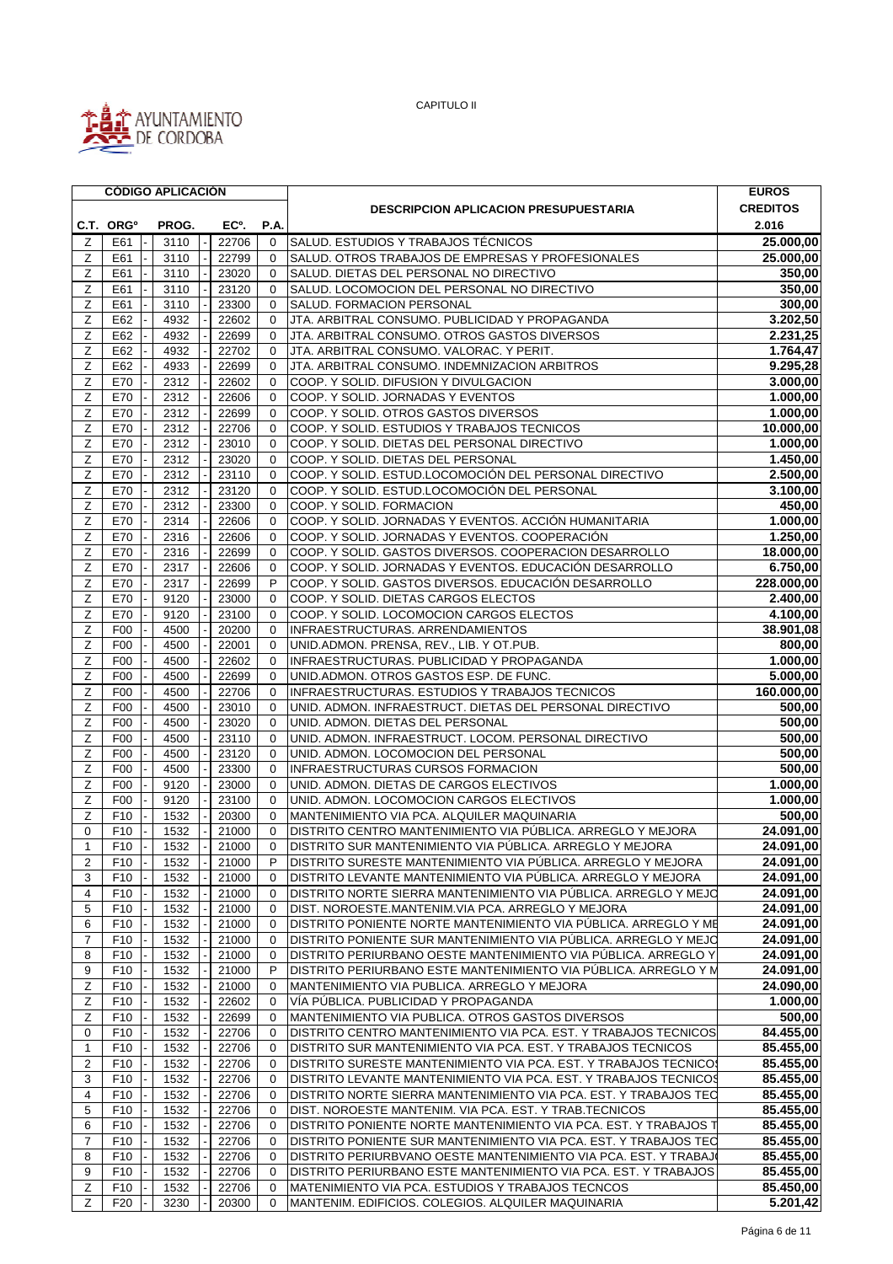

|                |                       | <b>CÓDIGO APLICACIÓN</b> |                   |             |                                                                  | <b>EUROS</b>       |
|----------------|-----------------------|--------------------------|-------------------|-------------|------------------------------------------------------------------|--------------------|
|                |                       |                          |                   |             | <b>DESCRIPCION APLICACION PRESUPUESTARIA</b>                     | <b>CREDITOS</b>    |
|                | C.T. ORG <sup>o</sup> | PROG.                    | EC <sup>o</sup> . | P.A.        |                                                                  | 2.016              |
|                |                       |                          |                   | $\Omega$    |                                                                  |                    |
| Ζ              | E61                   | 3110                     | 22706             |             | SALUD. ESTUDIOS Y TRABAJOS TÉCNICOS                              | 25.000,00          |
| Ζ              | E61                   | 3110                     | 22799             | 0           | SALUD. OTROS TRABAJOS DE EMPRESAS Y PROFESIONALES                | 25.000,00          |
| Ζ              | E61                   | 3110                     | 23020             | $\mathbf 0$ | SALUD. DIETAS DEL PERSONAL NO DIRECTIVO                          | 350,00             |
| Ζ              | E61                   | 3110                     | 23120             | $\mathbf 0$ | SALUD. LOCOMOCION DEL PERSONAL NO DIRECTIVO                      | 350,00             |
| Ζ              | E61                   | 3110                     | 23300             | $\Omega$    | SALUD. FORMACION PERSONAL                                        | 300,00             |
| $\mathsf Z$    | E62                   | 4932                     | 22602             | $\mathbf 0$ | JTA. ARBITRAL CONSUMO. PUBLICIDAD Y PROPAGANDA                   | 3.202,50           |
| Ζ              | E62                   | 4932                     | 22699             | $\mathbf 0$ | JTA. ARBITRAL CONSUMO. OTROS GASTOS DIVERSOS                     | 2.231,25           |
| Ζ              | E62                   | 4932                     | 22702             | $\mathbf 0$ | JTA. ARBITRAL CONSUMO. VALORAC. Y PERIT.                         | 1.764,47           |
| Ζ              | E62                   | 4933                     | 22699             | 0           | JTA. ARBITRAL CONSUMO. INDEMNIZACION ARBITROS                    | 9.295,28           |
| Ζ              | E70                   | 2312                     | 22602             | $\mathbf 0$ | COOP. Y SOLID. DIFUSION Y DIVULGACION                            | 3.000,00           |
| Ζ              | E70                   | 2312                     | 22606             | $\mathbf 0$ | COOP. Y SOLID. JORNADAS Y EVENTOS                                | 1.000,00           |
| Ζ              | E70                   | 2312                     | 22699             | $\Omega$    | COOP. Y SOLID. OTROS GASTOS DIVERSOS                             | 1.000,00           |
|                |                       |                          |                   |             |                                                                  |                    |
| Ζ              | E70                   | 2312                     | 22706             | 0           | COOP. Y SOLID. ESTUDIOS Y TRABAJOS TECNICOS                      | 10.000,00          |
| Ζ              | E70                   | 2312                     | 23010             | $\mathbf 0$ | COOP. Y SOLID. DIETAS DEL PERSONAL DIRECTIVO                     | 1.000,00           |
| $\overline{z}$ | E70                   | 2312                     | 23020             | $\mathbf 0$ | COOP. Y SOLID. DIETAS DEL PERSONAL                               | 1.450,00           |
| Ζ              | E70                   | 2312                     | 23110             | 0           | COOP. Y SOLID. ESTUD.LOCOMOCIÓN DEL PERSONAL DIRECTIVO           | 2.500,00           |
| Ζ              | E70                   | 2312                     | 23120             | $\mathbf 0$ | COOP. Y SOLID. ESTUD.LOCOMOCIÓN DEL PERSONAL                     | 3.100,00           |
| Ζ              | E70                   | 2312                     | 23300             | 0           | COOP. Y SOLID. FORMACION                                         | 450,00             |
| Ζ              | E70                   | 2314                     | 22606             | $\Omega$    | COOP. Y SOLID. JORNADAS Y EVENTOS. ACCIÓN HUMANITARIA            | 1.000,00           |
| Ζ              | E70                   | 2316                     | 22606             | $\mathbf 0$ | COOP. Y SOLID. JORNADAS Y EVENTOS. COOPERACIÓN                   | 1.250,00           |
| Ζ              | E70                   | 2316                     | 22699             | $\Omega$    | COOP. Y SOLID. GASTOS DIVERSOS. COOPERACION DESARROLLO           | 18.000,00          |
|                |                       |                          |                   |             |                                                                  |                    |
| Ζ              | E70                   | 2317                     | 22606             | 0           | COOP. Y SOLID. JORNADAS Y EVENTOS. EDUCACIÓN DESARROLLO          | 6.750,00           |
| Ζ              | E70                   | 2317                     | 22699             | P           | COOP. Y SOLID. GASTOS DIVERSOS. EDUCACIÓN DESARROLLO             | 228.000,00         |
| Ζ              | E70                   | 9120                     | 23000             | 0           | COOP. Y SOLID. DIETAS CARGOS ELECTOS                             | 2.400,00           |
| Ζ              | E70                   | 9120                     | 23100             | 0           | COOP. Y SOLID. LOCOMOCION CARGOS ELECTOS                         | 4.100,00           |
| Ζ              | F00                   | 4500                     | 20200             | $\mathbf 0$ | INFRAESTRUCTURAS. ARRENDAMIENTOS                                 | 38.901,08          |
| Ζ              | F00                   | 4500                     | 22001             | $\mathbf 0$ | UNID.ADMON. PRENSA, REV., LIB. Y OT.PUB.                         | 800,00             |
| Ζ              | F00                   | 4500                     | 22602             | 0           | INFRAESTRUCTURAS. PUBLICIDAD Y PROPAGANDA                        | 1.000,00           |
| Ζ              | F <sub>00</sub>       | 4500                     | 22699             | $\mathbf 0$ | UNID.ADMON. OTROS GASTOS ESP. DE FUNC.                           | 5.000,00           |
| Ζ              | F <sub>00</sub>       | 4500                     | 22706             | 0           | INFRAESTRUCTURAS. ESTUDIOS Y TRABAJOS TECNICOS                   | 160.000,00         |
| $\mathsf Z$    | F <sub>0</sub>        | 4500                     | 23010             | 0           | UNID. ADMON. INFRAESTRUCT. DIETAS DEL PERSONAL DIRECTIVO         | 500,00             |
|                |                       |                          |                   |             |                                                                  |                    |
| Ζ              | F00                   | 4500                     | 23020             | $\Omega$    | UNID. ADMON. DIETAS DEL PERSONAL                                 | 500,00             |
| Ζ              | F <sub>00</sub>       | 4500                     | 23110             | $\mathbf 0$ | UNID. ADMON. INFRAESTRUCT. LOCOM. PERSONAL DIRECTIVO             | 500,00             |
| Ζ              | F <sub>0</sub>        | 4500                     | 23120             | 0           | UNID. ADMON. LOCOMOCION DEL PERSONAL                             | $\frac{1}{500,00}$ |
| Ζ              | F00                   | 4500                     | 23300             | $\mathbf 0$ | INFRAESTRUCTURAS CURSOS FORMACION                                | 500,00             |
| Ζ              | F00                   | 9120                     | 23000             | $\mathbf 0$ | UNID. ADMON. DIETAS DE CARGOS ELECTIVOS                          | 1.000,00           |
| Ζ              | F00                   | 9120                     | 23100             | $\Omega$    | UNID. ADMON. LOCOMOCION CARGOS ELECTIVOS                         | 1.000,00           |
| Z              | F <sub>10</sub>       | 1532                     | 20300             | 0           | MANTENIMIENTO VIA PCA. ALQUILER MAQUINARIA                       | 500,00             |
| $\mathbf 0$    | F <sub>10</sub>       | 1532                     | 21000             | $\mathbf 0$ | DISTRITO CENTRO MANTENIMIENTO VIA PÚBLICA. ARREGLO Y MEJORA      | 24.091,00          |
| $\mathbf{1}$   | F <sub>10</sub>       | 1532                     | 21000             | $\Omega$    | DISTRITO SUR MANTENIMIENTO VIA PÚBLICA. ARREGLO Y MEJORA         | 24.091,00          |
|                |                       |                          |                   | P           |                                                                  |                    |
| 2              | F <sub>10</sub>       | 1532                     | 21000             |             | DISTRITO SURESTE MANTENIMIENTO VIA PUBLICA. ARREGLO Y MEJORA     | 24.091,00          |
| 3              | F <sub>10</sub>       | 1532                     | 21000             | 0           | DISTRITO LEVANTE MANTENIMIENTO VIA PÚBLICA. ARREGLO Y MEJORA     | 24.091,00          |
| 4              | F10                   | 1532                     | 21000             | 0           | DISTRITO NORTE SIERRA MANTENIMIENTO VIA PUBLICA. ARREGLO Y MEJO  | 24.091,00          |
| 5              | F <sub>10</sub>       | 1532                     | 21000             | 0           | DIST. NOROESTE.MANTENIM.VIA PCA. ARREGLO Y MEJORA                | 24.091,00          |
| 6              | F10                   | 1532                     | 21000             | 0           | DISTRITO PONIENTE NORTE MANTENIMIENTO VIA PÚBLICA. ARREGLO Y ME  | 24.091,00          |
| 7              | F10                   | 1532                     | 21000             | 0           | DISTRITO PONIENTE SUR MANTENIMIENTO VIA PÚBLICA. ARREGLO Y MEJO  | 24.091,00          |
| 8              | F <sub>10</sub>       | 1532                     | 21000             | 0           | DISTRITO PERIURBANO OESTE MANTENIMIENTO VIA PÚBLICA. ARREGLO Y   | 24.091,00          |
| 9              | F <sub>10</sub>       | 1532                     | 21000             | P           | DISTRITO PERIURBANO ESTE MANTENIMIENTO VIA PÚBLICA. ARREGLO Y M  | 24.091,00          |
| Ζ              | F <sub>10</sub>       | 1532                     | 21000             | 0           | MANTENIMIENTO VIA PUBLICA. ARREGLO Y MEJORA                      | 24.090,00          |
| Ζ              | F <sub>10</sub>       | 1532                     | 22602             | 0           | VÍA PÚBLICA. PUBLICIDAD Y PROPAGANDA                             | 1.000,00           |
|                |                       |                          |                   |             |                                                                  | $\frac{1}{500,00}$ |
| Ζ              | F <sub>10</sub>       | 1532                     | 22699             | 0           | MANTENIMIENTO VIA PUBLICA. OTROS GASTOS DIVERSOS                 |                    |
| 0              | F10                   | 1532                     | 22706             | 0           | DISTRITO CENTRO MANTENIMIENTO VIA PCA. EST. Y TRABAJOS TECNICOS  | 84.455,00          |
| $\mathbf{1}$   | F10                   | 1532                     | 22706             | 0           | DISTRITO SUR MANTENIMIENTO VIA PCA. EST. Y TRABAJOS TECNICOS     | 85.455,00          |
| 2              | F10                   | 1532                     | 22706             | 0           | DISTRITO SURESTE MANTENIMIENTO VIA PCA. EST. Y TRABAJOS TECNICO  | 85.455,00          |
| 3              | F10                   | 1532                     | 22706             | 0           | DISTRITO LEVANTE MANTENIMIENTO VIA PCA. EST. Y TRABAJOS TECNICOS | 85.455,00          |
| 4              | F <sub>10</sub>       | 1532                     | 22706             | 0           | DISTRITO NORTE SIERRA MANTENIMIENTO VIA PCA. EST. Y TRABAJOS TEO | 85.455,00          |
| 5              | F <sub>10</sub>       | 1532                     | 22706             | 0           | DIST. NOROESTE MANTENIM. VIA PCA. EST. Y TRAB.TECNICOS           | 85.455,00          |
| 6              | F <sub>10</sub>       | 1532                     | 22706             | 0           | DISTRITO PONIENTE NORTE MANTENIMIENTO VIA PCA. EST. Y TRABAJOS T | 85.455,00          |
| 7              | F <sub>10</sub>       | 1532                     | 22706             | 0           | DISTRITO PONIENTE SUR MANTENIMIENTO VIA PCA. EST. Y TRABAJOS TEO | 85.455,00          |
| 8              | F <sub>10</sub>       | 1532                     | 22706             | 0           | ∣DISTRITO PERIURBVANO OESTE MANTENIMIENTO VIA PCA. EST. Y TRABAJ | 85.455,00          |
|                |                       |                          |                   |             |                                                                  |                    |
| 9              | F10                   | 1532                     | 22706             | 0           | DISTRITO PERIURBANO ESTE MANTENIMIENTO VIA PCA. EST. Y TRABAJOS  | 85.455,00          |
| Z              | F10                   | 1532                     | 22706             | $\Omega$    | MATENIMIENTO VIA PCA. ESTUDIOS Y TRABAJOS TECNCOS                | 85.450,00          |
| Ζ              | F <sub>20</sub>       | 3230                     | 20300             | 0           | MANTENIM. EDIFICIOS. COLEGIOS. ALQUILER MAQUINARIA               | 5.201,42           |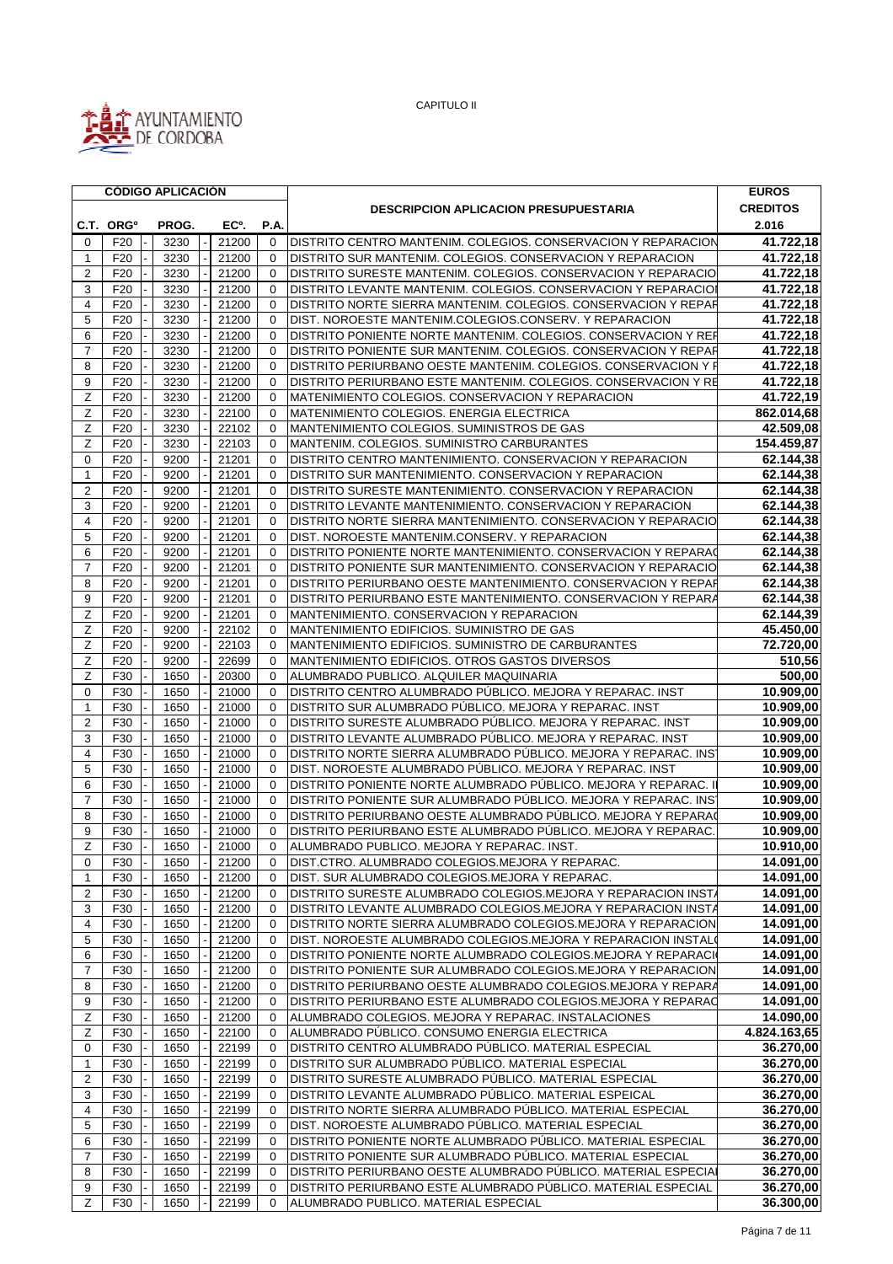

|                  |                       | <b>CÓDIGO APLICACIÓN</b> |                   |             |                                                                | <b>EUROS</b>           |
|------------------|-----------------------|--------------------------|-------------------|-------------|----------------------------------------------------------------|------------------------|
|                  |                       |                          |                   |             | <b>DESCRIPCION APLICACION PRESUPUESTARIA</b>                   | <b>CREDITOS</b>        |
|                  | C.T. ORG <sup>o</sup> | PROG.                    | EC <sup>o</sup> . | P.A.        |                                                                | 2.016                  |
| $\Omega$         | F <sub>20</sub>       | 3230                     | 21200             | 0           | DISTRITO CENTRO MANTENIM. COLEGIOS. CONSERVACION Y REPARACION  | 41.722,18              |
| $\mathbf{1}$     | F <sub>20</sub>       | 3230                     | 21200             | $\Omega$    | DISTRITO SUR MANTENIM. COLEGIOS. CONSERVACION Y REPARACION     | 41.722,18              |
| $\overline{2}$   | F <sub>20</sub>       | 3230                     | 21200             | $\Omega$    | DISTRITO SURESTE MANTENIM. COLEGIOS. CONSERVACION Y REPARACIO  | 41.722,18              |
| 3                | F <sub>20</sub>       | 3230                     | 21200             | 0           | DISTRITO LEVANTE MANTENIM. COLEGIOS. CONSERVACION Y REPARACIOI | 41.722,18              |
| 4                | F <sub>20</sub>       | 3230                     | 21200             | 0           | DISTRITO NORTE SIERRA MANTENIM. COLEGIOS. CONSERVACION Y REPAR | 41.722,18              |
| 5                | F <sub>20</sub>       | 3230                     | 21200             | 0           | DIST. NOROESTE MANTENIM.COLEGIOS.CONSERV. Y REPARACION         | 41.722,18              |
|                  |                       |                          |                   |             |                                                                | 41.722.18              |
| 6                | F <sub>20</sub>       | 3230                     | 21200             | 0           | DISTRITO PONIENTE NORTE MANTENIM. COLEGIOS. CONSERVACION Y REF |                        |
| $\overline{7}$   | F <sub>20</sub>       | 3230                     | 21200             | $\mathbf 0$ | DISTRITO PONIENTE SUR MANTENIM. COLEGIOS. CONSERVACION Y REPAR | 41.722,18              |
| 8                | F <sub>20</sub>       | 3230                     | 21200             | $\Omega$    | DISTRITO PERIURBANO OESTE MANTENIM. COLEGIOS. CONSERVACION Y F | 41.722,18              |
| 9                | F20                   | 3230                     | 21200             | 0           | DISTRITO PERIURBANO ESTE MANTENIM. COLEGIOS. CONSERVACION Y RE | 41.722,18              |
| Ζ                | F20                   | 3230                     | 21200             | $\Omega$    | MATENIMIENTO COLEGIOS. CONSERVACION Y REPARACION               | 41.722,19              |
| Ζ                | F <sub>20</sub>       | 3230                     | 22100             | 0           | MATENIMIENTO COLEGIOS. ENERGIA ELECTRICA                       | 862.014,68             |
| Ζ                | F <sub>20</sub>       | 3230                     | 22102             | 0           | MANTENIMIENTO COLEGIOS. SUMINISTROS DE GAS                     | 42.509,08              |
| Z                | F20                   | 3230                     | 22103             | 0           | MANTENIM. COLEGIOS. SUMINISTRO CARBURANTES                     | 154.459,87             |
| 0                | F20                   | 9200                     | 21201             | $\mathbf 0$ | DISTRITO CENTRO MANTENIMIENTO. CONSERVACION Y REPARACION       | 62.144,38              |
| 1                | F20                   | 9200                     | 21201             | $\Omega$    | DISTRITO SUR MANTENIMIENTO. CONSERVACION Y REPARACION          | 62.144,38              |
| $\overline{2}$   | F <sub>20</sub>       | 9200                     | 21201             | 0           | DISTRITO SURESTE MANTENIMIENTO. CONSERVACION Y REPARACION      | 62.144,38              |
| 3                | F <sub>20</sub>       | 9200                     | 21201             | $\mathbf 0$ | DISTRITO LEVANTE MANTENIMIENTO. CONSERVACION Y REPARACION      | 62.144,38              |
| 4                | F <sub>20</sub>       | 9200                     | 21201             | $\mathbf 0$ | DISTRITO NORTE SIERRA MANTENIMIENTO. CONSERVACION Y REPARACIO  | 62.144,38              |
| 5                | F <sub>20</sub>       | 9200                     | 21201             | 0           | DIST. NOROESTE MANTENIM.CONSERV. Y REPARACION                  | 62.144,38              |
| 6                | F <sub>20</sub>       | 9200                     | 21201             | 0           | DISTRITO PONIENTE NORTE MANTENIMIENTO. CONSERVACION Y REPARAÇ  | 62.144,38              |
| 7                | F <sub>20</sub>       | 9200                     | 21201             | 0           | DISTRITO PONIENTE SUR MANTENIMIENTO. CONSERVACION Y REPARACIO  | 62.144,38              |
| 8                | F20                   | 9200                     | 21201             | $\Omega$    | DISTRITO PERIURBANO OESTE MANTENIMIENTO. CONSERVACION Y REPAR  | 62.144,38              |
| 9                | F20                   | 9200                     | 21201             | 0           | DISTRITO PERIURBANO ESTE MANTENIMIENTO. CONSERVACION Y REPARA  | 62.144,38              |
| Ζ                | F <sub>20</sub>       | 9200                     | 21201             | $\mathbf 0$ | MANTENIMIENTO. CONSERVACION Y REPARACION                       | 62.144,39              |
| Ζ                | F <sub>20</sub>       | 9200                     | 22102             | 0           | MANTENIMIENTO EDIFICIOS. SUMINISTRO DE GAS                     | 45.450,00              |
|                  |                       |                          |                   |             |                                                                |                        |
| Ζ                | F <sub>20</sub>       | 9200                     | 22103             | $\Omega$    | MANTENIMIENTO EDIFICIOS. SUMINISTRO DE CARBURANTES             | 72.720,00              |
| Ζ                | F20                   | 9200                     | 22699             | 0           | MANTENIMIENTO EDIFICIOS. OTROS GASTOS DIVERSOS                 | 510,56                 |
| Ζ                | F30                   | 1650                     | 20300             | 0           | ALUMBRADO PUBLICO. ALQUILER MAQUINARIA                         | 500,00                 |
| 0                | F30                   | 1650                     | 21000             | 0           | DISTRITO CENTRO ALUMBRADO PÚBLICO. MEJORA Y REPARAC. INST      | 10.909,00              |
| $\mathbf{1}$     | F30                   | 1650                     | 21000             | 0           | DISTRITO SUR ALUMBRADO PÚBLICO. MEJORA Y REPARAC. INST         | 10.909,00              |
| $\boldsymbol{2}$ | F30                   | 1650                     | 21000             | 0           | DISTRITO SURESTE ALUMBRADO PÚBLICO. MEJORA Y REPARAC. INST     | 10.909,00              |
| 3                | F30                   | 1650                     | 21000             | 0           | DISTRITO LEVANTE ALUMBRADO PÚBLICO. MEJORA Y REPARAC. INST     | 10.909,00              |
| 4                | F30                   | 1650                     | 21000             | $\Omega$    | DISTRITO NORTE SIERRA ALUMBRADO PÚBLICO. MEJORA Y REPARAC. INS | 10.909,00              |
| 5                | F30                   | 1650                     | 21000             | 0           | DIST. NOROESTE ALUMBRADO PÚBLICO. MEJORA Y REPARAC. INST       | 10.909,00              |
| 6                | F30                   | 1650                     | 21000             | 0           | DISTRITO PONIENTE NORTE ALUMBRADO PÚBLICO. MEJORA Y REPARAC. I | 10.909,00              |
| $\overline{7}$   | F30                   | 1650                     | 21000             | $\mathbf 0$ | DISTRITO PONIENTE SUR ALUMBRADO PÚBLICO. MEJORA Y REPARAC. INS | 10.909,00              |
| 8                | F30                   | 1650                     | 21000             | 0           | DISTRITO PERIURBANO OESTE ALUMBRADO PÚBLICO. MEJORA Y REPARA(  | 10.909,00              |
| 9                | F30                   | 1650                     | 21000             | 0           | DISTRITO PERIURBANO ESTE ALUMBRADO PÚBLICO. MEJORA Y REPARAC.  | 10.909,00              |
| Ζ                | F30                   | 1650                     | 21000             | $\Omega$    | ALUMBRADO PUBLICO. MEJORA Y REPARAC. INST.                     | 10.910,00              |
| 0                | F30                   | 1650                     | 21200             | 0           | DIST.CTRO. ALUMBRADO COLEGIOS.MEJORA Y REPARAC.                | 14.091,00              |
| 1                | F30                   | 1650                     | 21200             | 0           | DIST. SUR ALUMBRADO COLEGIOS.MEJORA Y REPARAC.                 | 14.091,00              |
|                  | F30                   | 1650                     | 21200             |             | DISTRITO SURESTE ALUMBRADO COLEGIOS.MEJORA Y REPARACION INST/  | 14.091,00              |
| 2                |                       |                          |                   | 0           | DISTRITO LEVANTE ALUMBRADO COLEGIOS.MEJORA Y REPARACION INSTA  | $\overline{14.091,00}$ |
| 3                | F30                   | 1650                     | 21200             | 0           |                                                                |                        |
| 4                | F30                   | 1650                     | 21200             | 0           | DISTRITO NORTE SIERRA ALUMBRADO COLEGIOS.MEJORA Y REPARACION   | 14.091,00              |
| 5                | F30                   | 1650                     | 21200             | 0           | DIST. NOROESTE ALUMBRADO COLEGIOS.MEJORA Y REPARACION INSTALI  | 14.091,00              |
| 6                | F30                   | 1650                     | 21200             | 0           | DISTRITO PONIENTE NORTE ALUMBRADO COLEGIOS.MEJORA Y REPARACI   | 14.091,00              |
| 7                | F30                   | 1650                     | 21200             | 0           | DISTRITO PONIENTE SUR ALUMBRADO COLEGIOS.MEJORA Y REPARACION   | 14.091,00              |
| 8                | F30                   | 1650                     | 21200             | 0           | DISTRITO PERIURBANO OESTE ALUMBRADO COLEGIOS.MEJORA Y REPARA   | 14.091,00              |
| 9                | F30                   | 1650                     | 21200             | 0           | DISTRITO PERIURBANO ESTE ALUMBRADO COLEGIOS.MEJORA Y REPARAC   | 14.091,00              |
| Ζ                | F30                   | 1650                     | 21200             | 0           | ALUMBRADO COLEGIOS. MEJORA Y REPARAC. INSTALACIONES            | 14.090,00              |
| Ζ                | F30                   | 1650                     | 22100             | 0           | ALUMBRADO PÚBLICO. CONSUMO ENERGIA ELECTRICA                   | 4.824.163,65           |
| 0                | F30                   | 1650                     | 22199             | 0           | DISTRITO CENTRO ALUMBRADO PÚBLICO. MATERIAL ESPECIAL           | 36.270,00              |
| 1                | F30                   | 1650                     | 22199             | 0           | DISTRITO SUR ALUMBRADO PÚBLICO. MATERIAL ESPECIAL              | 36.270,00              |
| $\overline{2}$   | F30                   | 1650                     | 22199             | 0           | DISTRITO SURESTE ALUMBRADO PÚBLICO. MATERIAL ESPECIAL          | 36.270,00              |
| 3                | F30                   | 1650                     | 22199             | 0           | DISTRITO LEVANTE ALUMBRADO PÚBLICO. MATERIAL ESPEICAL          | 36.270,00              |
| 4                | F30                   | 1650                     | 22199             | 0           | DISTRITO NORTE SIERRA ALUMBRADO PÚBLICO. MATERIAL ESPECIAL     | 36.270,00              |
| 5                | F30                   | 1650                     | 22199             | 0           | DIST. NOROESTE ALUMBRADO PÚBLICO. MATERIAL ESPECIAL            | 36.270,00              |
| 6                | F30                   | 1650                     | 22199             | 0           | DISTRITO PONIENTE NORTE ALUMBRADO PÚBLICO. MATERIAL ESPECIAL   | 36.270,00              |
| 7                | F30                   |                          | 22199             |             | DISTRITO PONIENTE SUR ALUMBRADO PÚBLICO. MATERIAL ESPECIAL     | 36.270,00              |
|                  |                       | 1650                     |                   | 0           |                                                                |                        |
| 8                | F30                   | 1650                     | 22199             | 0           | DISTRITO PERIURBANO OESTE ALUMBRADO PÚBLICO. MATERIAL ESPECIAI | 36.270,00              |
| 9                | F30                   | 1650                     | 22199             | 0           | DISTRITO PERIURBANO ESTE ALUMBRADO PÚBLICO. MATERIAL ESPECIAL  | 36.270,00              |
| Z                | F30                   | 1650                     | 22199             | 0           | ALUMBRADO PUBLICO. MATERIAL ESPECIAL                           | 36.300,00              |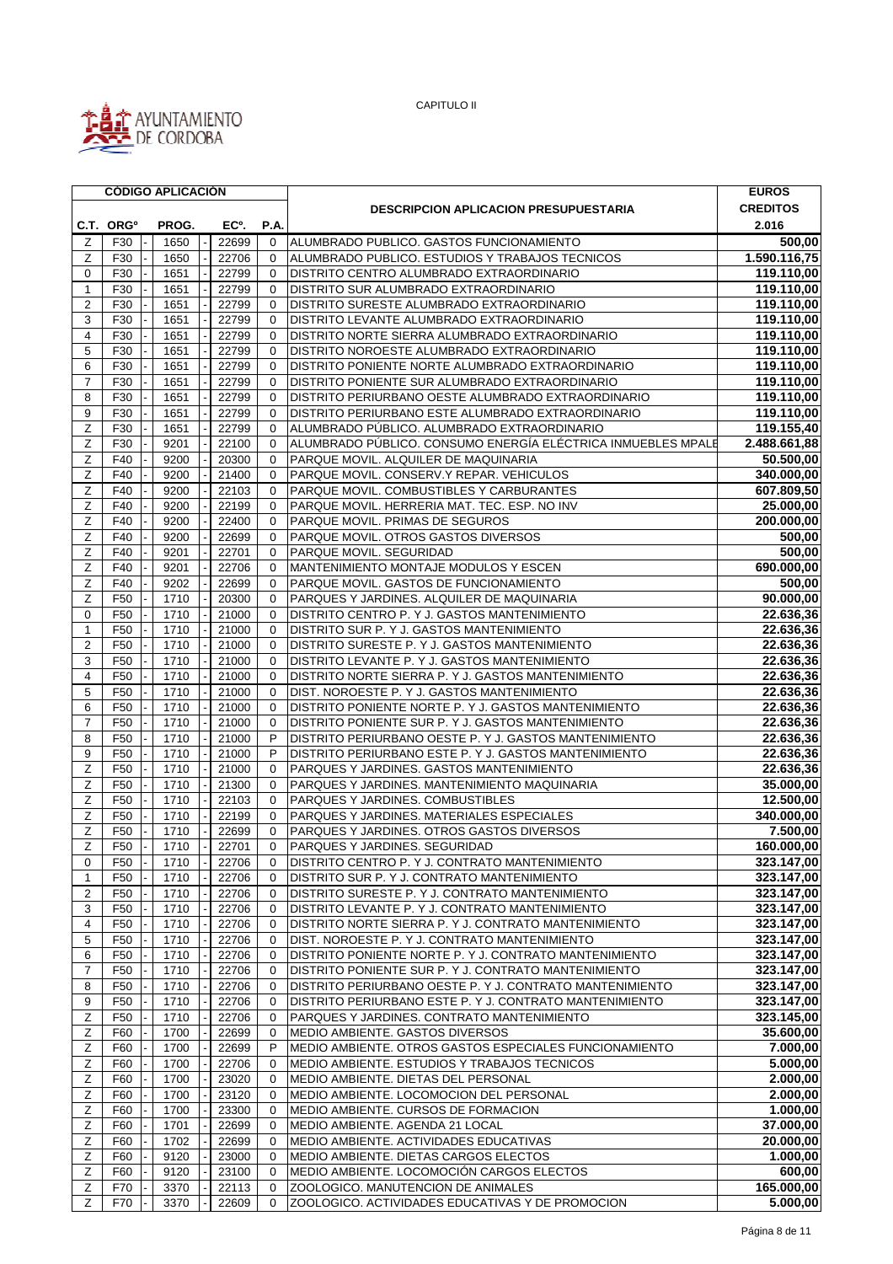

|                     |                       | <b>CÓDIGO APLICACIÓN</b> |                   |                   |                                                              | <b>EUROS</b>             |
|---------------------|-----------------------|--------------------------|-------------------|-------------------|--------------------------------------------------------------|--------------------------|
|                     |                       |                          |                   |                   | <b>DESCRIPCION APLICACION PRESUPUESTARIA</b>                 | <b>CREDITOS</b>          |
|                     | C.T. ORG <sup>o</sup> | PROG.                    | EC <sup>o</sup> . | P.A.              |                                                              | 2.016                    |
| Z                   | F30                   | 1650                     | 22699             | $\Omega$          | ALUMBRADO PUBLICO. GASTOS FUNCIONAMIENTO                     | 500,00                   |
| Ζ                   | F30                   | 1650                     | 22706             | $\Omega$          | ALUMBRADO PUBLICO. ESTUDIOS Y TRABAJOS TECNICOS              | 1.590.116,75             |
| $\mathbf 0$         | F30                   | 1651                     | 22799             | 0                 | DISTRITO CENTRO ALUMBRADO EXTRAORDINARIO                     | 119.110,00               |
| 1                   | F30                   | 1651                     | 22799             | $\mathbf 0$       | DISTRITO SUR ALUMBRADO EXTRAORDINARIO                        | 119.110,00               |
| $\overline{2}$      | F30                   | 1651                     | 22799             | 0                 | DISTRITO SURESTE ALUMBRADO EXTRAORDINARIO                    | 119.110,00               |
| 3                   | F30                   | 1651                     | 22799             | $\mathbf 0$       | DISTRITO LEVANTE ALUMBRADO EXTRAORDINARIO                    | 119.110,00               |
| 4                   | F30                   | 1651                     | 22799             | $\mathbf 0$       | DISTRITO NORTE SIERRA ALUMBRADO EXTRAORDINARIO               | 119.110,00               |
| 5                   | F30                   | 1651                     | 22799             | $\mathbf 0$       | DISTRITO NOROESTE ALUMBRADO EXTRAORDINARIO                   | 119.110,00               |
|                     |                       |                          |                   | $\Omega$          | DISTRITO PONIENTE NORTE ALUMBRADO EXTRAORDINARIO             | 119.110,00               |
| 6<br>$\overline{7}$ | F30                   | 1651                     | 22799             |                   |                                                              |                          |
|                     | F30                   | 1651                     | 22799             | 0                 | DISTRITO PONIENTE SUR ALUMBRADO EXTRAORDINARIO               | 119.110,00               |
| 8                   | F30                   | 1651                     | 22799             | $\mathbf 0$       | DISTRITO PERIURBANO OESTE ALUMBRADO EXTRAORDINARIO           | 119.110,00               |
| 9                   | F30                   | 1651                     | 22799             | $\mathbf 0$       | DISTRITO PERIURBANO ESTE ALUMBRADO EXTRAORDINARIO            | 119.110,00               |
| Ζ                   | F30                   | 1651                     | 22799             | 0                 | ALUMBRADO PÚBLICO. ALUMBRADO EXTRAORDINARIO                  | 119.155,40               |
| Ζ                   | F30                   | 9201                     | 22100             | $\Omega$          | ALUMBRADO PÚBLICO. CONSUMO ENERGÍA ELÉCTRICA INMUEBLES MPALE | 2.488.661,88             |
| Ζ                   | F40                   | 9200                     | 20300             | $\mathbf 0$       | PARQUE MOVIL. ALQUILER DE MAQUINARIA                         | 50.500,00                |
| Ζ                   | F40                   | 9200                     | 21400             | $\Omega$          | PARQUE MOVIL. CONSERV.Y REPAR. VEHICULOS                     | 340.000,00               |
| Ζ                   | F40                   | 9200                     | 22103             | 0                 | PARQUE MOVIL. COMBUSTIBLES Y CARBURANTES                     | 607.809,50               |
| Ζ                   | F40                   | 9200                     | 22199             | 0                 | PARQUE MOVIL. HERRERIA MAT. TEC. ESP. NO INV                 | 25.000,00                |
| Ζ                   | F40                   | 9200                     | 22400             | $\mathbf 0$       | PARQUE MOVIL. PRIMAS DE SEGUROS                              | 200.000,00               |
| Z                   | F40                   | 9200                     | 22699             | $\Omega$          | PARQUE MOVIL. OTROS GASTOS DIVERSOS                          | $\overline{500}$ ,00     |
| Ζ                   | F40                   | 9201                     | 22701             | 0                 | PARQUE MOVIL. SEGURIDAD                                      | $\overline{500,00}$      |
| Ζ                   | F40                   | 9201                     | 22706             | 0                 | MANTENIMIENTO MONTAJE MODULOS Y ESCEN                        | 690.000,00               |
| Ζ                   | F40                   | 9202                     | 22699             | $\Omega$          | PARQUE MOVIL. GASTOS DE FUNCIONAMIENTO                       | 500,00                   |
| Ζ                   | F <sub>50</sub>       | 1710                     | 20300             | 0                 | PARQUES Y JARDINES. ALQUILER DE MAQUINARIA                   | 90.000,00                |
| 0                   | F <sub>50</sub>       | 1710                     | 21000             | $\mathbf 0$       | DISTRITO CENTRO P. Y J. GASTOS MANTENIMIENTO                 | 22.636,36                |
| 1                   | F <sub>50</sub>       | 1710                     | 21000             | $\mathbf 0$       | DISTRITO SUR P. Y J. GASTOS MANTENIMIENTO                    | 22.636,36                |
| $\overline{2}$      | F <sub>50</sub>       | 1710                     | 21000             | $\Omega$          | DISTRITO SURESTE P. Y J. GASTOS MANTENIMIENTO                | 22.636,36                |
| 3                   | F <sub>50</sub>       | 1710                     | 21000             | 0                 | DISTRITO LEVANTE P. Y J. GASTOS MANTENIMIENTO                | 22.636,36                |
| 4                   | F <sub>50</sub>       | 1710                     | 21000             | 0                 | DISTRITO NORTE SIERRA P. Y J. GASTOS MANTENIMIENTO           | 22.636,36                |
| 5                   | F <sub>50</sub>       | 1710                     | 21000             | $\mathbf 0$       | DIST. NOROESTE P. Y J. GASTOS MANTENIMIENTO                  | 22.636,36                |
| 6                   | F <sub>50</sub>       | 1710                     | 21000             | $\mathbf 0$       | DISTRITO PONIENTE NORTE P. Y J. GASTOS MANTENIMIENTO         | 22.636,36                |
| $\overline{7}$      | F <sub>50</sub>       | 1710                     | 21000             | $\Omega$          | DISTRITO PONIENTE SUR P. Y J. GASTOS MANTENIMIENTO           | 22.636,36                |
| 8                   | F <sub>50</sub>       | 1710                     | 21000             | P                 | DISTRITO PERIURBANO OESTE P. Y J. GASTOS MANTENIMIENTO       | 22.636,36                |
| 9                   | F <sub>50</sub>       | 1710                     | 21000             | P                 | DISTRITO PERIURBANO ESTE P. Y J. GASTOS MANTENIMIENTO        | 22.636,36                |
| Ζ                   | F <sub>50</sub>       | 1710                     | 21000             | 0                 | PARQUES Y JARDINES. GASTOS MANTENIMIENTO                     | 22.636,36                |
| Ζ                   | F50                   | 1710                     | 21300             | $\Omega$          | PARQUES Y JARDINES. MANTENIMIENTO MAQUINARIA                 | 35.000,00                |
| $\overline{z}$      | F <sub>50</sub>       | 1710                     | 22103             | $\mathbf 0$       | PARQUES Y JARDINES. COMBUSTIBLES                             | 12.500,00                |
| Ζ                   | F <sub>50</sub>       | 1710                     | 22199             | 0                 | PARQUES Y JARDINES. MATERIALES ESPECIALES                    | 340.000,00               |
| Ζ                   | F <sub>50</sub>       | 1710                     | 22699             | 0                 | PARQUES Y JARDINES. OTROS GASTOS DIVERSOS                    | 7.500,00                 |
| Ζ                   | F50                   | 1710                     | 22701             | $\Omega$          | PARQUES Y JARDINES, SEGURIDAD                                | 160.000,00               |
|                     |                       |                          |                   |                   | DISTRITO CENTRO P. Y J. CONTRATO MANTENIMIENTO               | 323.147,00               |
| 0                   | F50<br>F50            | 1710<br>1710             | 22706<br>22706    | $\mathbf{0}$<br>0 | DISTRITO SUR P. Y J. CONTRATO MANTENIMIENTO                  | 323.147,00               |
| 1                   |                       |                          |                   |                   |                                                              |                          |
| 2                   | F <sub>50</sub>       | 1710                     | 22706             | 0                 | DISTRITO SURESTE P. Y J. CONTRATO MANTENIMIENTO              | 323.147,00               |
| 3                   | F <sub>50</sub>       | 1710                     | 22706             | 0                 | DISTRITO LEVANTE P. Y J. CONTRATO MANTENIMIENTO              | 323.147,00               |
| 4                   | F <sub>50</sub>       | 1710                     | 22706             | 0                 | DISTRITO NORTE SIERRA P. Y J. CONTRATO MANTENIMIENTO         | 323.147,00<br>323.147,00 |
| 5                   | F <sub>50</sub>       | 1710                     | 22706             | 0                 | DIST. NOROESTE P. Y J. CONTRATO MANTENIMIENTO                |                          |
| 6                   | F <sub>50</sub>       | 1710                     | 22706             | 0                 | DISTRITO PONIENTE NORTE P. Y J. CONTRATO MANTENIMIENTO       | 323.147,00               |
| 7                   | F <sub>50</sub>       | 1710                     | 22706             | 0                 | DISTRITO PONIENTE SUR P. Y J. CONTRATO MANTENIMIENTO         | 323.147,00               |
| 8                   | F <sub>50</sub>       | 1710                     | 22706             | 0                 | DISTRITO PERIURBANO OESTE P. Y J. CONTRATO MANTENIMIENTO     | 323.147,00               |
| 9                   | F <sub>50</sub>       | 1710                     | 22706             | 0                 | DISTRITO PERIURBANO ESTE P. Y J. CONTRATO MANTENIMIENTO      | 323.147,00               |
| Ζ                   | F <sub>50</sub>       | 1710                     | 22706             | 0                 | PARQUES Y JARDINES. CONTRATO MANTENIMIENTO                   | 323.145,00               |
| Ζ                   | F60                   | 1700                     | 22699             | 0                 | MEDIO AMBIENTE. GASTOS DIVERSOS                              | 35.600,00                |
| Ζ                   | F60                   | 1700                     | 22699             | P                 | MEDIO AMBIENTE. OTROS GASTOS ESPECIALES FUNCIONAMIENTO       | 7.000,00                 |
| $\mathsf Z$         | F60                   | 1700                     | 22706             | 0                 | MEDIO AMBIENTE. ESTUDIOS Y TRABAJOS TECNICOS                 | 5.000,00                 |
| Ζ                   | F60                   | 1700                     | 23020             | 0                 | MEDIO AMBIENTE. DIETAS DEL PERSONAL                          | 2.000,00                 |
| Ζ                   | F60                   | 1700                     | 23120             | 0                 | MEDIO AMBIENTE. LOCOMOCION DEL PERSONAL                      | 2.000,00                 |
| Ζ                   | F60                   | 1700                     | 23300             | 0                 | MEDIO AMBIENTE. CURSOS DE FORMACION                          | 1.000,00                 |
| $\mathsf Z$         | F60                   | 1701                     | 22699             | 0                 | MEDIO AMBIENTE. AGENDA 21 LOCAL                              | 37.000,00                |
| Ζ                   | F60                   | 1702                     | 22699             | 0                 | MEDIO AMBIENTE. ACTIVIDADES EDUCATIVAS                       | 20.000,00                |
| Ζ                   | F60                   | 9120                     | 23000             | 0                 | MEDIO AMBIENTE. DIETAS CARGOS ELECTOS                        | 1.000,00                 |
| $\mathsf Z$         | F60                   | 9120                     | 23100             | 0                 | MEDIO AMBIENTE. LOCOMOCIÓN CARGOS ELECTOS                    | 600,00                   |
| Ζ                   | F70                   | 3370                     | 22113             | 0                 | ZOOLOGICO. MANUTENCION DE ANIMALES                           | 165.000,00               |
| Z                   | F70                   | 3370                     | 22609             | 0                 | ZOOLOGICO. ACTIVIDADES EDUCATIVAS Y DE PROMOCION             | 5.000,00                 |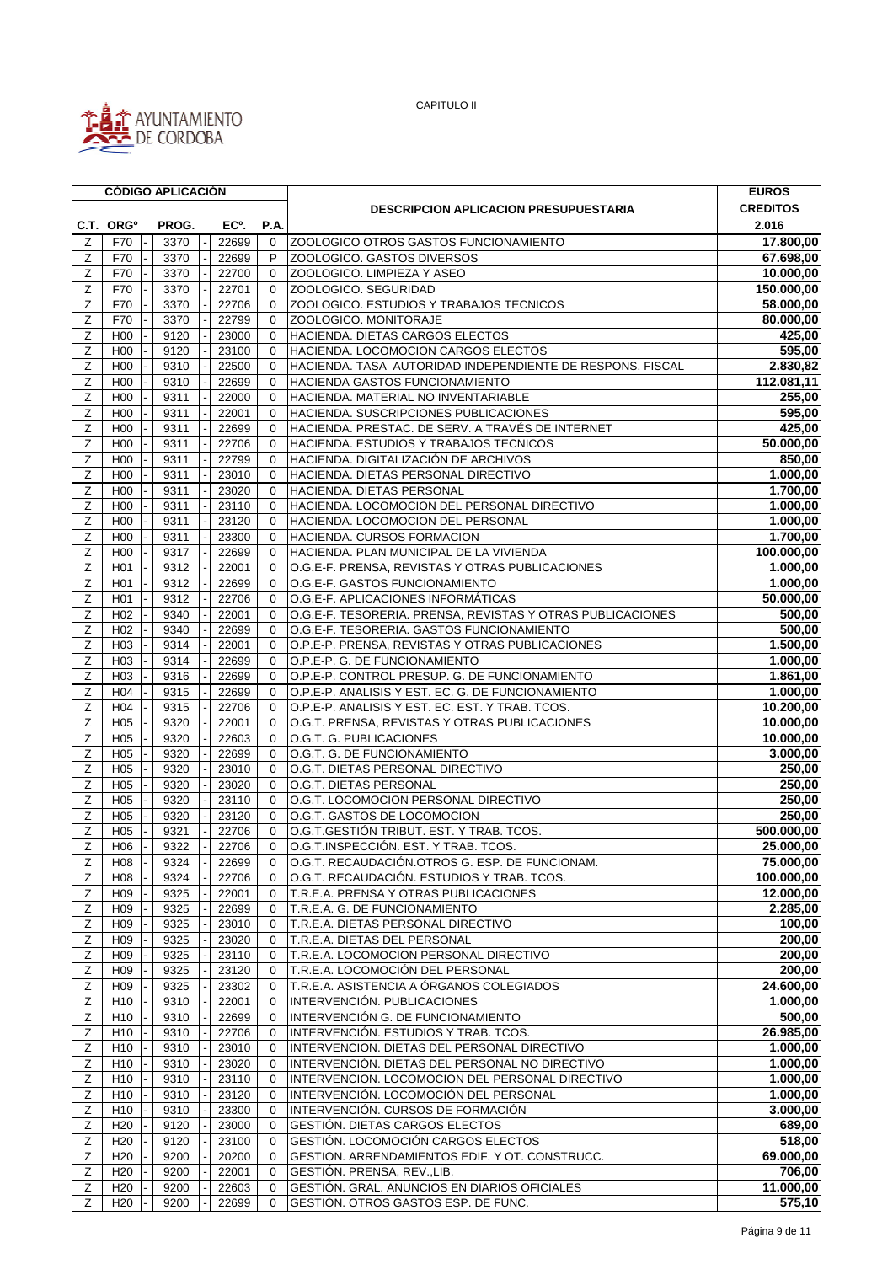

|                |                       | <b>CÓDIGO APLICACIÓN</b> |                   |             |                                                            | <b>EUROS</b>    |
|----------------|-----------------------|--------------------------|-------------------|-------------|------------------------------------------------------------|-----------------|
|                |                       |                          |                   |             | <b>DESCRIPCION APLICACION PRESUPUESTARIA</b>               | <b>CREDITOS</b> |
|                | C.T. ORG <sup>o</sup> | PROG.                    | EC <sup>o</sup> . | P.A.        |                                                            | 2.016           |
| Ζ              | F70                   | 3370                     | 22699             | $\mathbf 0$ | ZOOLOGICO OTROS GASTOS FUNCIONAMIENTO                      | 17.800,00       |
| Ζ              | F70                   | 3370                     | 22699             | P           | ZOOLOGICO. GASTOS DIVERSOS                                 | 67.698,00       |
| Ζ              | F70                   | 3370                     | 22700             | 0           | ZOOLOGICO. LIMPIEZA Y ASEO                                 | 10.000,00       |
| Ζ              | F70                   | 3370                     | 22701             | $\mathbf 0$ | ZOOLOGICO. SEGURIDAD                                       | 150.000,00      |
| Ζ              | F70                   | 3370                     | 22706             | $\mathbf 0$ | ZOOLOGICO. ESTUDIOS Y TRABAJOS TECNICOS                    | 58.000,00       |
| Ζ              | F70                   | 3370                     | 22799             | $\mathbf 0$ | ZOOLOGICO. MONITORAJE                                      | 80.000,00       |
| Ζ              | H <sub>00</sub>       | 9120                     | 23000             | $\mathbf 0$ | HACIENDA. DIETAS CARGOS ELECTOS                            | 425,00          |
| Ζ              | H <sub>00</sub>       | 9120                     | 23100             | $\mathbf 0$ | HACIENDA. LOCOMOCION CARGOS ELECTOS                        | 595,00          |
|                |                       |                          | 22500             | $\Omega$    |                                                            |                 |
| Ζ              | H <sub>00</sub>       | 9310                     |                   |             | HACIENDA. TASA AUTORIDAD INDEPENDIENTE DE RESPONS. FISCAL  | 2.830,82        |
| Ζ              | H <sub>00</sub>       | 9310                     | 22699             | 0           | HACIENDA GASTOS FUNCIONAMIENTO                             | 112.081,11      |
| Ζ              | H <sub>00</sub>       | 9311                     | 22000             | $\Omega$    | HACIENDA. MATERIAL NO INVENTARIABLE                        | 255,00          |
| Ζ              | H <sub>00</sub>       | 9311                     | 22001             | $\Omega$    | HACIENDA. SUSCRIPCIONES PUBLICACIONES                      | 595,00          |
| Ζ              | H <sub>00</sub>       | 9311                     | 22699             | $\mathbf 0$ | HACIENDA. PRESTAC. DE SERV. A TRAVÉS DE INTERNET           | 425,00          |
| Ζ              | H <sub>00</sub>       | 9311                     | 22706             | $\mathbf 0$ | HACIENDA. ESTUDIOS Y TRABAJOS TECNICOS                     | 50.000,00       |
| Ζ              | H <sub>00</sub>       | 9311                     | 22799             | $\mathbf 0$ | HACIENDA. DIGITALIZACIÓN DE ARCHIVOS                       | 850,00          |
| Ζ              | H <sub>00</sub>       | 9311                     | 23010             | $\Omega$    | HACIENDA. DIETAS PERSONAL DIRECTIVO                        | 1.000,00        |
| Ζ              | H <sub>00</sub>       | 9311                     | 23020             | 0           | HACIENDA. DIETAS PERSONAL                                  | 1.700,00        |
| Ζ              | H <sub>00</sub>       | 9311                     | 23110             | $\mathbf 0$ | HACIENDA. LOCOMOCION DEL PERSONAL DIRECTIVO                | 1.000,00        |
| Ζ              | H <sub>00</sub>       | 9311                     | 23120             | $\mathbf 0$ | HACIENDA. LOCOMOCION DEL PERSONAL                          | 1.000,00        |
| Ζ              | H <sub>00</sub>       | 9311                     | 23300             | $\Omega$    | HACIENDA. CURSOS FORMACION                                 | 1.700,00        |
| Ζ              | H <sub>00</sub>       | 9317                     | 22699             | 0           | HACIENDA. PLAN MUNICIPAL DE LA VIVIENDA                    | 100.000,00      |
| z              | H <sub>0</sub> 1      | 9312                     | 22001             | 0           | O.G.E-F. PRENSA, REVISTAS Y OTRAS PUBLICACIONES            | 1.000,00        |
| Ζ              | H <sub>01</sub>       | 9312                     | 22699             | $\Omega$    | O.G.E-F. GASTOS FUNCIONAMIENTO                             | 1.000,00        |
| Ζ              | H <sub>01</sub>       | 9312                     | 22706             | $\mathbf 0$ | O.G.E-F. APLICACIONES INFORMÁTICAS                         | 50.000,00       |
| Ζ              | H <sub>02</sub>       | 9340                     | 22001             | $\Omega$    | O.G.E-F. TESORERIA. PRENSA, REVISTAS Y OTRAS PUBLICACIONES | 500,00          |
| Ζ              | H <sub>02</sub>       | 9340                     | 22699             | $\mathbf 0$ | O.G.E-F. TESORERIA. GASTOS FUNCIONAMIENTO                  | 500,00          |
| Ζ              | H <sub>03</sub>       | 9314                     | 22001             | $\Omega$    | O.P.E-P. PRENSA, REVISTAS Y OTRAS PUBLICACIONES            | 1.500,00        |
| $\overline{z}$ | H <sub>03</sub>       | 9314                     | 22699             | 0           | O.P.E-P. G. DE FUNCIONAMIENTO                              | 1.000,00        |
| Ζ              | H <sub>03</sub>       | 9316                     | 22699             | $\mathbf 0$ | O.P.E-P. CONTROL PRESUP. G. DE FUNCIONAMIENTO              | 1.861,00        |
| Ζ              | H <sub>04</sub>       | 9315                     | 22699             | $\Omega$    | O.P.E-P. ANALISIS Y EST. EC. G. DE FUNCIONAMIENTO          | 1.000,00        |
| Ζ              | H <sub>04</sub>       | 9315                     | 22706             | 0           | O.P.E-P. ANALISIS Y EST. EC. EST. Y TRAB. TCOS.            | 10.200,00       |
| Ζ              | H <sub>05</sub>       | 9320                     | 22001             | $\mathbf 0$ | O.G.T. PRENSA, REVISTAS Y OTRAS PUBLICACIONES              | 10.000,00       |
| Ζ              | H <sub>05</sub>       | 9320                     | 22603             | $\mathbf 0$ | O.G.T. G. PUBLICACIONES                                    | 10.000,00       |
| Ζ              | H <sub>05</sub>       | 9320                     | 22699             | $\Omega$    | O.G.T. G. DE FUNCIONAMIENTO                                | 3.000,00        |
| Ζ              | H <sub>05</sub>       | 9320                     | 23010             | 0           | O.G.T. DIETAS PERSONAL DIRECTIVO                           | 250,00          |
| Ζ              | H <sub>05</sub>       | 9320                     | 23020             | $\mathbf 0$ | O.G.T. DIETAS PERSONAL                                     | 250,00          |
| Ζ              | H <sub>05</sub>       | 9320                     | 23110             | $\mathbf 0$ | O.G.T. LOCOMOCION PERSONAL DIRECTIVO                       | 250,00          |
| Ζ              | H <sub>05</sub>       | 9320                     | 23120             | $\mathbf 0$ | O.G.T. GASTOS DE LOCOMOCION                                | 250,00          |
| Ζ              | H <sub>05</sub>       | 9321                     | 22706             | 0           | O.G.T.GESTIÓN TRIBUT. EST. Y TRAB. TCOS.                   | 500.000,00      |
| Ζ              | H06                   | 9322                     | 22706             | $\Omega$    | O.G.T.INSPECCIÓN. EST. Y TRAB. TCOS.                       | 25.000,00       |
| Ζ              | H <sub>0</sub> 8      | 9324                     | 22699             | 0           | O.G.T. RECAUDACIÓN.OTROS G. ESP. DE FUNCIONAM.             | 75.000,00       |
| Ζ              | H <sub>08</sub>       | 9324                     | 22706             | 0           | O.G.T. RECAUDACIÓN. ESTUDIOS Y TRAB. TCOS.                 | 100.000,00      |
| Ζ              | H <sub>09</sub>       | 9325                     | 22001             | 0           | T.R.E.A. PRENSA Y OTRAS PUBLICACIONES                      | 12.000,00       |
| Ζ              | H <sub>09</sub>       | 9325                     | 22699             | 0           | T.R.E.A. G. DE FUNCIONAMIENTO                              | 2.285,00        |
| Ζ              | H <sub>09</sub>       | 9325                     | 23010             | 0           | T.R.E.A. DIETAS PERSONAL DIRECTIVO                         | 100,00          |
| Z              | H <sub>09</sub>       | 9325                     | 23020             | 0           | T.R.E.A. DIETAS DEL PERSONAL                               | 200,00          |
|                | H <sub>09</sub>       | 9325                     | 23110             |             |                                                            | 200,00          |
| Ζ              |                       |                          | 23120             | 0           | T.R.E.A. LOCOMOCION PERSONAL DIRECTIVO                     |                 |
| Ζ              | H <sub>09</sub>       | 9325                     |                   | 0           | T.R.E.A. LOCOMOCIÓN DEL PERSONAL                           | 200,00          |
| Z              | H <sub>09</sub>       | 9325                     | 23302             | 0           | T.R.E.A. ASISTENCIA A ÓRGANOS COLEGIADOS                   | 24.600,00       |
| Ζ              | H <sub>10</sub>       | 9310                     | 22001             | 0           | INTERVENCIÓN. PUBLICACIONES                                | 1.000,00        |
| Z              | H <sub>10</sub>       | 9310                     | 22699             | 0           | INTERVENCIÓN G. DE FUNCIONAMIENTO                          | 500,00          |
| Ζ              | H <sub>10</sub>       | 9310                     | 22706             | 0           | INTERVENCIÓN. ESTUDIOS Y TRAB. TCOS.                       | 26.985,00       |
| Ζ              | H <sub>10</sub>       | 9310                     | 23010             | 0           | INTERVENCION. DIETAS DEL PERSONAL DIRECTIVO                | 1.000,00        |
| Z              | H <sub>10</sub>       | 9310                     | 23020             | 0           | INTERVENCIÓN. DIETAS DEL PERSONAL NO DIRECTIVO             | 1.000,00        |
| Ζ              | H <sub>10</sub>       | 9310                     | 23110             | 0           | INTERVENCION. LOCOMOCION DEL PERSONAL DIRECTIVO            | 1.000,00        |
| Ζ              | H <sub>10</sub>       | 9310                     | 23120             | 0           | INTERVENCIÓN. LOCOMOCIÓN DEL PERSONAL                      | 1.000,00        |
| Ζ              | H <sub>10</sub>       | 9310                     | 23300             | 0           | INTERVENCIÓN. CURSOS DE FORMACIÓN                          | 3.000,00        |
| Z              | H <sub>20</sub>       | 9120                     | 23000             | $\mathbf 0$ | GESTIÓN. DIETAS CARGOS ELECTOS                             | 689,00          |
| Z              | H <sub>20</sub>       | 9120                     | 23100             | 0           | GESTIÓN. LOCOMOCIÓN CARGOS ELECTOS                         | 518,00          |
| Ζ              | H <sub>20</sub>       | 9200                     | 20200             | 0           | GESTION. ARRENDAMIENTOS EDIF. Y OT. CONSTRUCC.             | 69.000,00       |
| Ζ              | H <sub>20</sub>       | 9200                     | 22001             | 0           | GESTIÓN. PRENSA, REV.,LIB.                                 | 706,00          |
| Ζ              | H <sub>20</sub>       | 9200                     | 22603             | $\mathbf 0$ | GESTIÓN. GRAL. ANUNCIOS EN DIARIOS OFICIALES               | 11.000,00       |
| Ζ              | H <sub>20</sub>       | 9200                     | 22699             | 0           | GESTIÓN. OTROS GASTOS ESP. DE FUNC.                        | 575,10          |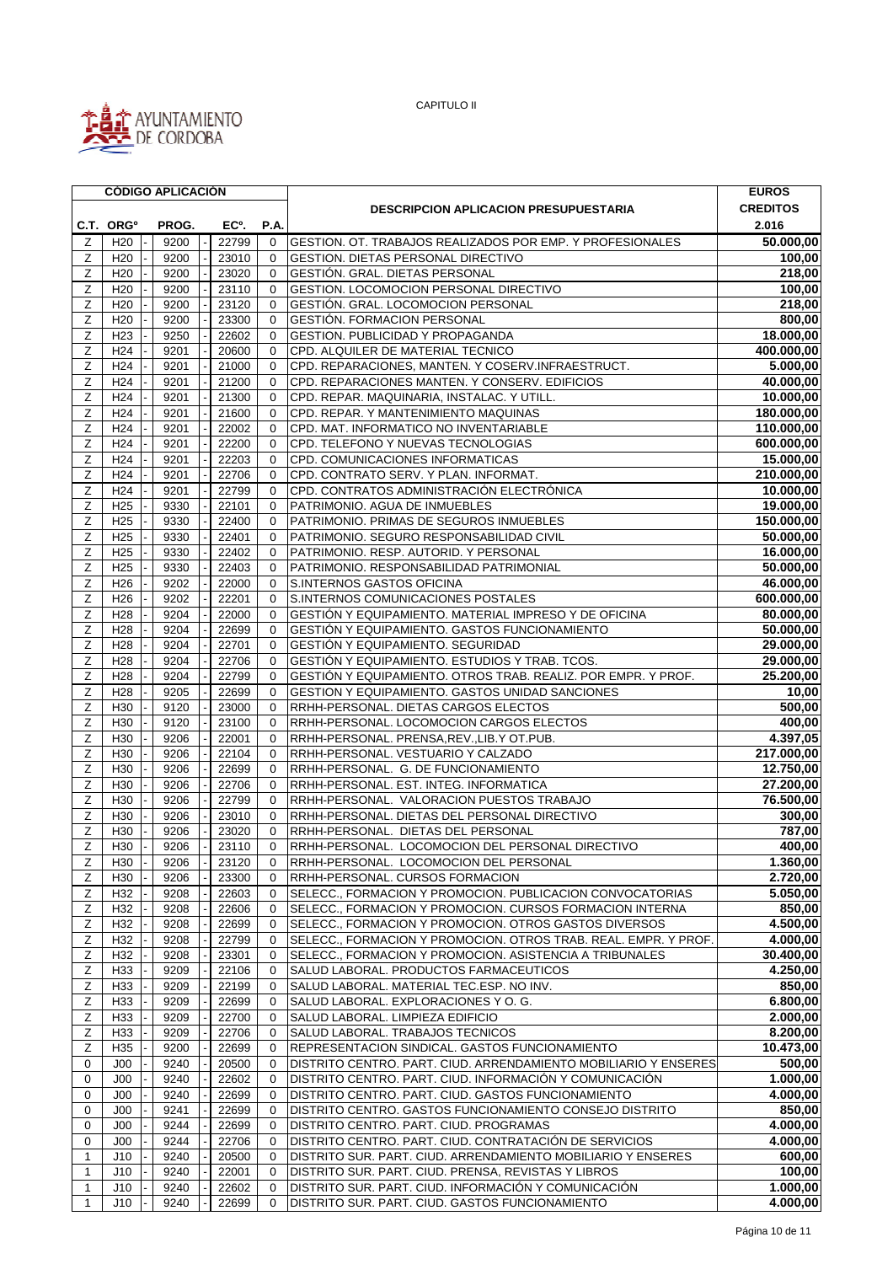

|                |                       | <b>CÓDIGO APLICACIÓN</b> |                          |                   |             |                                                                       | <b>EUROS</b>       |
|----------------|-----------------------|--------------------------|--------------------------|-------------------|-------------|-----------------------------------------------------------------------|--------------------|
|                |                       |                          |                          |                   |             | <b>DESCRIPCION APLICACION PRESUPUESTARIA</b>                          | <b>CREDITOS</b>    |
|                | C.T. ORG <sup>o</sup> | PROG.                    |                          | EC <sup>o</sup> . | <b>P.A.</b> |                                                                       | 2.016              |
| Ζ              | H <sub>20</sub>       | 9200                     | $\overline{\phantom{a}}$ | 22799             | $\mathbf 0$ | GESTION. OT. TRABAJOS REALIZADOS POR EMP. Y PROFESIONALES             | 50.000,00          |
| Ζ              | H <sub>20</sub>       | 9200                     |                          | 23010             | $\Omega$    | GESTION. DIETAS PERSONAL DIRECTIVO                                    | 100,00             |
| Ζ              | H <sub>20</sub>       | 9200                     |                          | 23020             | $\Omega$    | GESTIÓN. GRAL. DIETAS PERSONAL                                        | 218,00             |
| Ζ              | H <sub>20</sub>       | 9200                     |                          | 23110             | $\mathbf 0$ | <b>GESTION. LOCOMOCION PERSONAL DIRECTIVO</b>                         | 100,00             |
|                | H <sub>20</sub>       | 9200                     |                          | 23120             | $\mathbf 0$ | GESTIÓN. GRAL. LOCOMOCION PERSONAL                                    | 218,00             |
| Ζ<br>Ζ         | H <sub>20</sub>       | 9200                     |                          | 23300             | $\Omega$    | GESTIÓN. FORMACION PERSONAL                                           | 800,00             |
|                |                       |                          |                          |                   |             |                                                                       |                    |
| Ζ              | H <sub>23</sub>       | 9250                     |                          | 22602             | $\mathbf 0$ | GESTION. PUBLICIDAD Y PROPAGANDA<br>CPD. ALQUILER DE MATERIAL TECNICO | 18.000,00          |
| Ζ              | H <sub>24</sub>       | 9201                     |                          | 20600             | $\Omega$    |                                                                       | 400.000,00         |
| Ζ              | H <sub>24</sub>       | 9201                     |                          | 21000             | $\mathbf 0$ | CPD. REPARACIONES, MANTEN. Y COSERV.INFRAESTRUCT.                     | 5.000,00           |
| Ζ              | H <sub>24</sub>       | 9201                     |                          | 21200             | $\Omega$    | CPD. REPARACIONES MANTEN. Y CONSERV. EDIFICIOS                        | 40.000,00          |
| Ζ              | H <sub>24</sub>       | 9201                     |                          | 21300             | $\mathbf 0$ | CPD. REPAR. MAQUINARIA, INSTALAC. Y UTILL.                            | 10.000,00          |
| Ζ              | H <sub>24</sub>       | 9201                     |                          | 21600             | $\mathbf 0$ | CPD. REPAR. Y MANTENIMIENTO MAQUINAS                                  | 180.000,00         |
| Ζ              | H <sub>24</sub>       | 9201                     |                          | 22002             | $\Omega$    | CPD. MAT. INFORMATICO NO INVENTARIABLE                                | 110.000,00         |
| Ζ              | H <sub>24</sub>       | 9201                     |                          | 22200             | $\mathbf 0$ | CPD. TELEFONO Y NUEVAS TECNOLOGIAS                                    | 600.000,00         |
| Ζ              | H <sub>24</sub>       | 9201                     |                          | 22203             | $\mathbf 0$ | CPD. COMUNICACIONES INFORMATICAS                                      | 15.000,00          |
| Ζ              | H <sub>24</sub>       | 9201                     |                          | 22706             | $\mathbf 0$ | CPD. CONTRATO SERV. Y PLAN. INFORMAT.                                 | 210.000,00         |
| Ζ              | H <sub>24</sub>       | 9201                     |                          | 22799             | $\Omega$    | CPD. CONTRATOS ADMINISTRACIÓN ELECTRÓNICA                             | 10.000,00          |
| Ζ              | H <sub>25</sub>       | 9330                     |                          | 22101             | 0           | PATRIMONIO. AGUA DE INMUEBLES                                         | 19.000,00          |
| Ζ              | H <sub>25</sub>       | 9330                     |                          | 22400             | $\Omega$    | PATRIMONIO. PRIMAS DE SEGUROS INMUEBLES                               | 150.000,00         |
| Ζ              | H <sub>25</sub>       | 9330                     |                          | 22401             | $\Omega$    | PATRIMONIO. SEGURO RESPONSABILIDAD CIVIL                              | 50.000,00          |
| Ζ              | H <sub>25</sub>       | 9330                     |                          | 22402             | $\Omega$    | PATRIMONIO. RESP. AUTORID. Y PERSONAL                                 | 16.000,00          |
| Ζ              | H <sub>25</sub>       | 9330                     |                          | 22403             | 0           | PATRIMONIO. RESPONSABILIDAD PATRIMONIAL                               | 50.000,00          |
| Ζ              | H <sub>26</sub>       | 9202                     |                          | 22000             | $\mathbf 0$ | S.INTERNOS GASTOS OFICINA                                             | 46.000,00          |
| Ζ              | H <sub>26</sub>       | 9202                     |                          | 22201             | $\Omega$    | S.INTERNOS COMUNICACIONES POSTALES                                    | 600.000,00         |
| Ζ              | H <sub>28</sub>       | 9204                     |                          | 22000             | 0           | GESTIÓN Y EQUIPAMIENTO. MATERIAL IMPRESO Y DE OFICINA                 | 80.000,00          |
| Ζ              | H <sub>28</sub>       | 9204                     |                          | 22699             | $\mathbf 0$ | GESTIÓN Y EQUIPAMIENTO. GASTOS FUNCIONAMIENTO                         | 50.000,00          |
| Ζ              | H <sub>28</sub>       | 9204                     |                          | 22701             | $\mathbf 0$ | GESTIÓN Y EQUIPAMIENTO. SEGURIDAD                                     | 29.000,00          |
| Ζ              | H <sub>28</sub>       | 9204                     |                          | 22706             | $\Omega$    | GESTIÓN Y EQUIPAMIENTO. ESTUDIOS Y TRAB. TCOS.                        | 29.000,00          |
| Ζ              | H <sub>28</sub>       | 9204                     |                          | 22799             | $\mathbf 0$ | GESTIÓN Y EQUIPAMIENTO. OTROS TRAB. REALIZ. POR EMPR. Y PROF.         | 25.200,00          |
| Ζ              | H <sub>28</sub>       | 9205                     |                          | 22699             | $\mathbf 0$ | GESTION Y EQUIPAMIENTO. GASTOS UNIDAD SANCIONES                       | $\overline{10,00}$ |
| Ζ              | H <sub>30</sub>       | 9120                     |                          | 23000             | $\Omega$    | RRHH-PERSONAL. DIETAS CARGOS ELECTOS                                  | 500,00             |
| Ζ              | H <sub>30</sub>       | 9120                     |                          | 23100             | $\mathbf 0$ | RRHH-PERSONAL. LOCOMOCION CARGOS ELECTOS                              | 400,00             |
| Ζ              | H <sub>30</sub>       | 9206                     |                          | 22001             | $\mathbf 0$ | RRHH-PERSONAL. PRENSA, REV., LIB.Y OT. PUB.                           | 4.397,05           |
| Ζ              | H <sub>30</sub>       | 9206                     |                          | 22104             | $\mathbf 0$ | RRHH-PERSONAL. VESTUARIO Y CALZADO                                    | 217.000,00         |
| Ζ              | H <sub>30</sub>       | 9206                     |                          | 22699             | $\Omega$    | RRHH-PERSONAL. G. DE FUNCIONAMIENTO                                   | 12.750,00          |
| $\overline{z}$ | H <sub>30</sub>       | 9206                     |                          | 22706             | 0           | RRHH-PERSONAL. EST. INTEG. INFORMATICA                                | 27.200,00          |
| Ζ              | H <sub>30</sub>       | 9206                     |                          | 22799             | $\mathbf 0$ | RRHH-PERSONAL. VALORACION PUESTOS TRABAJO                             | 76.500,00          |
| Ζ              | H <sub>30</sub>       | 9206                     |                          | 23010             | $\Omega$    | RRHH-PERSONAL, DIETAS DEL PERSONAL DIRECTIVO                          | 300,00             |
| Ζ              | H30                   | 9206                     |                          | 23020             | 0           | RRHH-PERSONAL. DIETAS DEL PERSONAL                                    | 787,00             |
| Z              | H <sub>30</sub>       | 9206                     |                          | 23110             | $\Omega$    | RRHH-PERSONAL. LOCOMOCION DEL PERSONAL DIRECTIVO                      | 400,00             |
| Ζ              | H <sub>30</sub>       | 9206                     |                          | 23120             | 0           | RRHH-PERSONAL. LOCOMOCION DEL PERSONAL                                | 1.360,00           |
| Ζ              | H <sub>30</sub>       | 9206                     |                          | 23300             | $\mathbf 0$ | RRHH-PERSONAL. CURSOS FORMACION                                       | 2.720,00           |
| Ζ              | H32                   | 9208                     |                          | 22603             | 0           | SELECC., FORMACION Y PROMOCION. PUBLICACION CONVOCATORIAS             | 5.050,00           |
| Z              | H32                   | 9208                     |                          | 22606             | 0           | SELECC., FORMACION Y PROMOCION. CURSOS FORMACION INTERNA              | 850,00             |
| Z              | H32                   | 9208                     |                          | 22699             | 0           | SELECC., FORMACION Y PROMOCION. OTROS GASTOS DIVERSOS                 | 4.500.00           |
| Ζ              | H32                   | 9208                     |                          | 22799             | 0           | SELECC., FORMACION Y PROMOCION. OTROS TRAB. REAL. EMPR. Y PROF.       | 4.000,00           |
| Z              | H32                   | 9208                     |                          | 23301             | 0           | SELECC., FORMACION Y PROMOCION. ASISTENCIA A TRIBUNALES               | 30.400,00          |
| Ζ              | H33                   | 9209                     |                          | 22106             | 0           | SALUD LABORAL. PRODUCTOS FARMACEUTICOS                                | 4.250,00           |
| Ζ              | H33                   | 9209                     |                          | 22199             | 0           | SALUD LABORAL. MATERIAL TEC.ESP. NO INV.                              | 850,00             |
| Z              | H33                   | 9209                     |                          | 22699             | 0           | SALUD LABORAL. EXPLORACIONES Y O. G.                                  | 6.800,00           |
| Ζ              | H33                   | 9209                     |                          | 22700             | $\mathbf 0$ | SALUD LABORAL. LIMPIEZA EDIFICIO                                      | 2.000,00           |
| Ζ              | H33                   | 9209                     |                          | 22706             | 0           | SALUD LABORAL. TRABAJOS TECNICOS                                      | 8.200,00           |
| Ζ              | H35                   | 9200                     |                          | 22699             | 0           | REPRESENTACION SINDICAL. GASTOS FUNCIONAMIENTO                        | 10.473,00          |
| 0              | J <sub>00</sub>       | 9240                     |                          | 20500             | 0           | DISTRITO CENTRO. PART. CIUD. ARRENDAMIENTO MOBILIARIO Y ENSERES       | 500,00             |
| $\mathbf 0$    | J <sub>00</sub>       | 9240                     |                          | 22602             | 0           | DISTRITO CENTRO. PART. CIUD. INFORMACIÓN Y COMUNICACIÓN               | 1.000,00           |
|                |                       |                          |                          |                   |             |                                                                       |                    |
| 0              | J <sub>00</sub>       | 9240                     |                          | 22699             | $\mathbf 0$ | DISTRITO CENTRO. PART. CIUD. GASTOS FUNCIONAMIENTO                    | 4.000,00           |
| 0              | ${\sf J00}$           | 9241                     |                          | 22699             | 0           | DISTRITO CENTRO. GASTOS FUNCIONAMIENTO CONSEJO DISTRITO               | 850,00             |
| 0              | J <sub>00</sub>       | 9244                     |                          | 22699             | 0           | DISTRITO CENTRO. PART. CIUD. PROGRAMAS                                | 4.000,00           |
| 0              | J <sub>00</sub>       | 9244                     |                          | 22706             | 0           | DISTRITO CENTRO. PART. CIUD. CONTRATACIÓN DE SERVICIOS                | 4.000,00           |
| 1              | J10                   | 9240                     |                          | 20500             | $\Omega$    | DISTRITO SUR. PART. CIUD. ARRENDAMIENTO MOBILIARIO Y ENSERES          | 600,00             |
| $\mathbf{1}$   | J10                   | 9240                     |                          | 22001             | 0           | DISTRITO SUR. PART. CIUD. PRENSA, REVISTAS Y LIBROS                   | 100,00             |
| 1              | J10                   | 9240                     |                          | 22602             | 0           | DISTRITO SUR. PART. CIUD. INFORMACIÓN Y COMUNICACIÓN                  | 1.000,00           |
| $\mathbf{1}$   | J10                   | 9240                     |                          | 22699             | $\Omega$    | DISTRITO SUR. PART. CIUD. GASTOS FUNCIONAMIENTO                       | 4.000,00           |